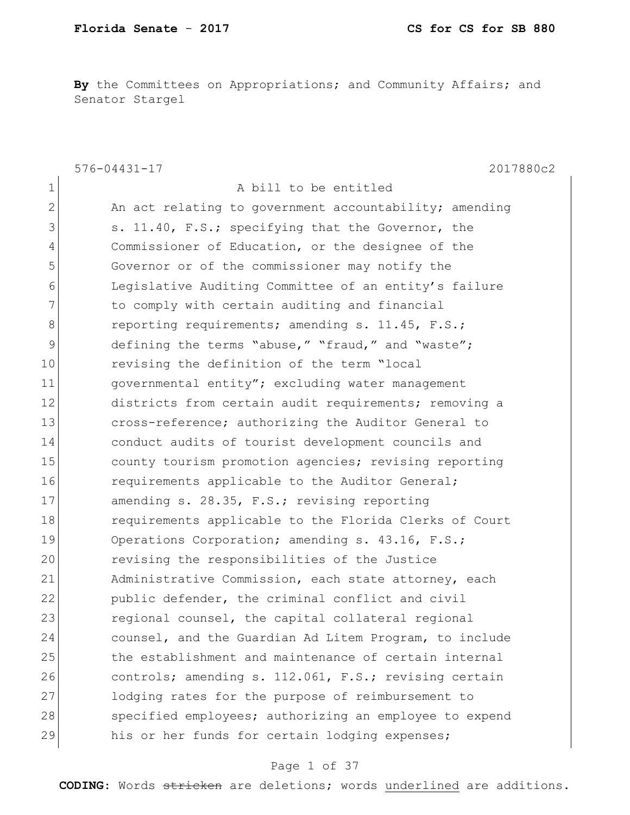**By** the Committees on Appropriations; and Community Affairs; and Senator Stargel

|               | $576 - 04431 - 17$<br>2017880c2                        |
|---------------|--------------------------------------------------------|
| 1             | A bill to be entitled                                  |
| $\mathbf{2}$  | An act relating to government accountability; amending |
| 3             | s. 11.40, F.S.; specifying that the Governor, the      |
| 4             | Commissioner of Education, or the designee of the      |
| 5             | Governor or of the commissioner may notify the         |
| 6             | Legislative Auditing Committee of an entity's failure  |
| 7             | to comply with certain auditing and financial          |
| 8             | reporting requirements; amending s. 11.45, F.S.;       |
| $\mathcal{G}$ | defining the terms "abuse," "fraud," and "waste";      |
| 10            | revising the definition of the term "local             |
| 11            | governmental entity"; excluding water management       |
| 12            | districts from certain audit requirements; removing a  |
| 13            | cross-reference; authorizing the Auditor General to    |
| 14            | conduct audits of tourist development councils and     |
| 15            | county tourism promotion agencies; revising reporting  |
| 16            | requirements applicable to the Auditor General;        |
| 17            | amending s. 28.35, F.S.; revising reporting            |
| 18            | requirements applicable to the Florida Clerks of Court |
| 19            | Operations Corporation; amending s. 43.16, F.S.;       |
| 20            | revising the responsibilities of the Justice           |
| 21            | Administrative Commission, each state attorney, each   |
| 22            | public defender, the criminal conflict and civil       |
| 23            | regional counsel, the capital collateral regional      |
| 24            | counsel, and the Guardian Ad Litem Program, to include |
| 25            | the establishment and maintenance of certain internal  |
| 26            | controls; amending s. 112.061, F.S.; revising certain  |
| 27            | lodging rates for the purpose of reimbursement to      |
| 28            | specified employees; authorizing an employee to expend |
| 29            | his or her funds for certain lodging expenses;         |

### Page 1 of 37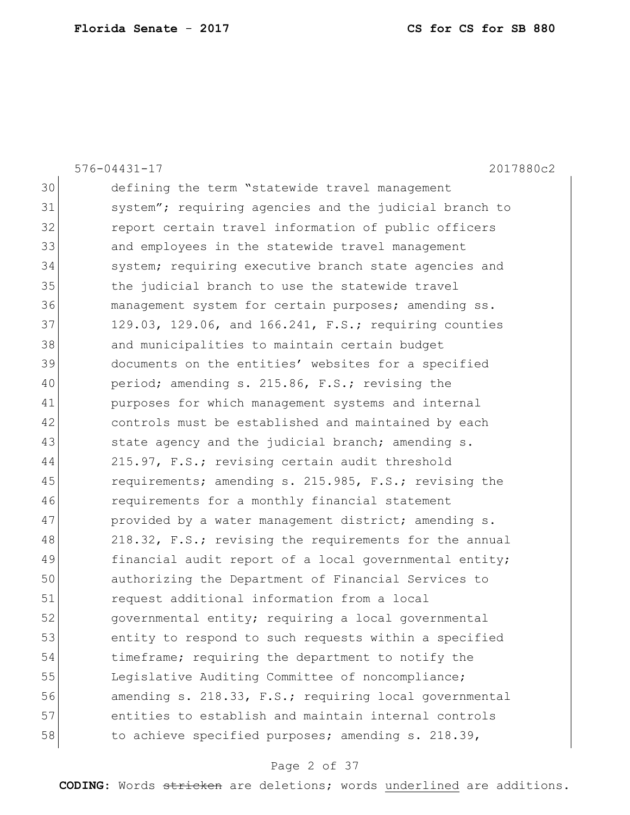|    | $576 - 04431 - 17$<br>2017880c2                        |
|----|--------------------------------------------------------|
| 30 | defining the term "statewide travel management         |
| 31 | system"; requiring agencies and the judicial branch to |
| 32 | report certain travel information of public officers   |
| 33 | and employees in the statewide travel management       |
| 34 | system; requiring executive branch state agencies and  |
| 35 | the judicial branch to use the statewide travel        |
| 36 | management system for certain purposes; amending ss.   |
| 37 | 129.03, 129.06, and 166.241, F.S.; requiring counties  |
| 38 | and municipalities to maintain certain budget          |
| 39 | documents on the entities' websites for a specified    |
| 40 | period; amending s. 215.86, F.S.; revising the         |
| 41 | purposes for which management systems and internal     |
| 42 | controls must be established and maintained by each    |
| 43 | state agency and the judicial branch; amending s.      |
| 44 | 215.97, F.S.; revising certain audit threshold         |
| 45 | requirements; amending s. 215.985, F.S.; revising the  |
| 46 | requirements for a monthly financial statement         |
| 47 | provided by a water management district; amending s.   |
| 48 | 218.32, F.S.; revising the requirements for the annual |
| 49 | financial audit report of a local governmental entity; |
| 50 | authorizing the Department of Financial Services to    |
| 51 | request additional information from a local            |
| 52 | governmental entity; requiring a local governmental    |
| 53 | entity to respond to such requests within a specified  |
| 54 | timeframe; requiring the department to notify the      |
| 55 | Legislative Auditing Committee of noncompliance;       |
| 56 | amending s. 218.33, F.S.; requiring local governmental |
| 57 | entities to establish and maintain internal controls   |
| 58 | to achieve specified purposes; amending s. 218.39,     |
|    |                                                        |

# Page 2 of 37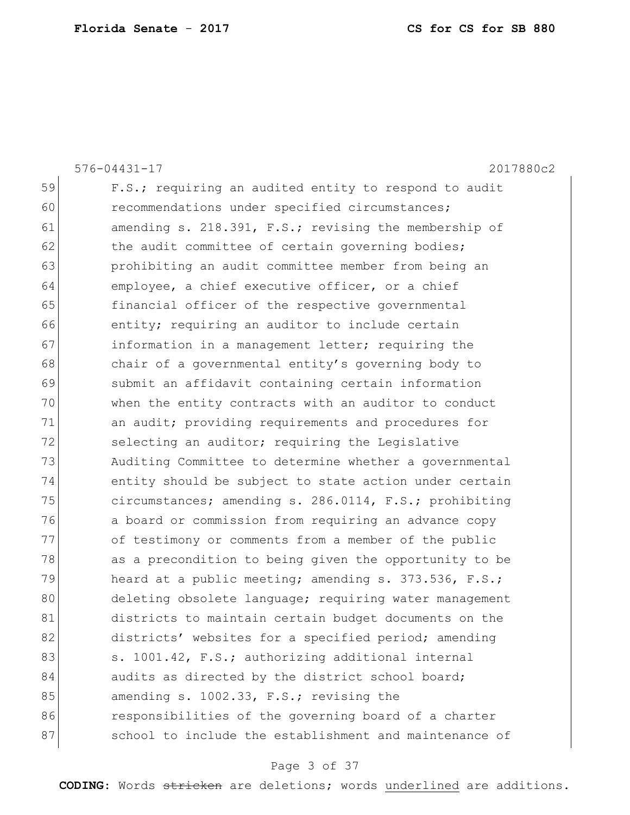| $576 - 04431 - 17$<br>2017880c2                        |
|--------------------------------------------------------|
| F.S.; requiring an audited entity to respond to audit  |
| recommendations under specified circumstances;         |
| amending s. 218.391, F.S.; revising the membership of  |
| the audit committee of certain governing bodies;       |
| prohibiting an audit committee member from being an    |
| employee, a chief executive officer, or a chief        |
| financial officer of the respective governmental       |
| entity; requiring an auditor to include certain        |
| information in a management letter; requiring the      |
| chair of a governmental entity's governing body to     |
| submit an affidavit containing certain information     |
| when the entity contracts with an auditor to conduct   |
| an audit; providing requirements and procedures for    |
| selecting an auditor; requiring the Legislative        |
| Auditing Committee to determine whether a governmental |
| entity should be subject to state action under certain |
| circumstances; amending s. 286.0114, F.S.; prohibiting |
| a board or commission from requiring an advance copy   |
| of testimony or comments from a member of the public   |
| as a precondition to being given the opportunity to be |
| heard at a public meeting; amending s. 373.536, F.S.;  |
| deleting obsolete language; requiring water management |
| districts to maintain certain budget documents on the  |
| districts' websites for a specified period; amending   |
| s. 1001.42, F.S.; authorizing additional internal      |
| audits as directed by the district school board;       |
| amending s. 1002.33, F.S.; revising the                |
| responsibilities of the governing board of a charter   |
| school to include the establishment and maintenance of |
|                                                        |

# Page 3 of 37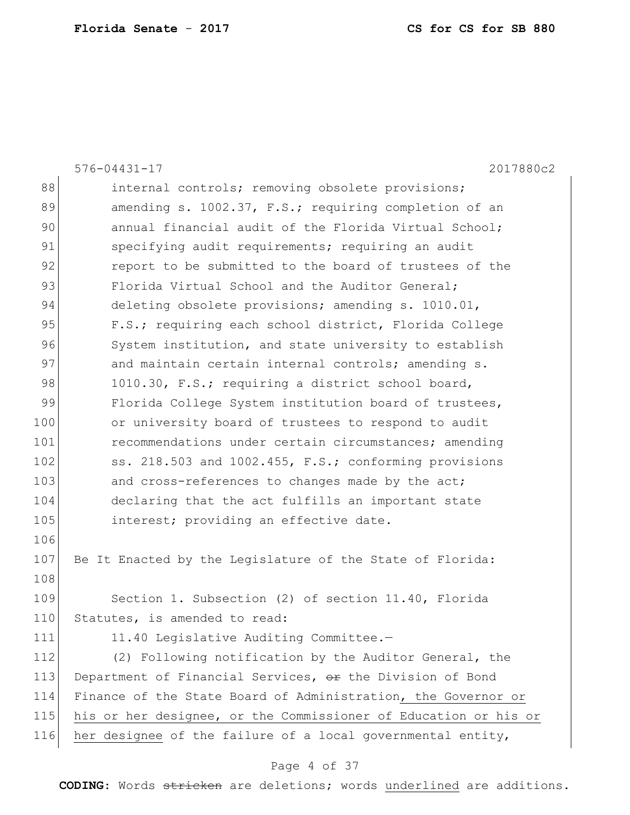| 88<br>internal controls; removing obsolete provisions;<br>89<br>amending s. 1002.37, F.S.; requiring completion of an<br>90<br>annual financial audit of the Florida Virtual School;<br>91<br>specifying audit requirements; requiring an audit<br>92<br>report to be submitted to the board of trustees of the<br>93<br>Florida Virtual School and the Auditor General;<br>94<br>deleting obsolete provisions; amending s. 1010.01,<br>95<br>F.S.; requiring each school district, Florida College<br>96<br>System institution, and state university to establish<br>97<br>and maintain certain internal controls; amending s.<br>98<br>1010.30, F.S.; requiring a district school board,<br>99<br>Florida College System institution board of trustees,<br>100<br>or university board of trustees to respond to audit<br>101<br>recommendations under certain circumstances; amending<br>102<br>ss. 218.503 and 1002.455, F.S.; conforming provisions<br>103<br>and cross-references to changes made by the act;<br>104<br>declaring that the act fulfills an important state<br>105<br>interest; providing an effective date.<br>106<br>107<br>Be It Enacted by the Legislature of the State of Florida:<br>108<br>109<br>Section 1. Subsection (2) of section 11.40, Florida<br>110<br>Statutes, is amended to read:<br>11.40 Legislative Auditing Committee.-<br>111<br>112<br>(2) Following notification by the Auditor General, the<br>113<br>Department of Financial Services, or the Division of Bond<br>114<br>Finance of the State Board of Administration, the Governor or<br>115<br>his or her designee, or the Commissioner of Education or his or<br>her designee of the failure of a local governmental entity,<br>116 | $576 - 04431 - 17$<br>2017880c2 |
|----------------------------------------------------------------------------------------------------------------------------------------------------------------------------------------------------------------------------------------------------------------------------------------------------------------------------------------------------------------------------------------------------------------------------------------------------------------------------------------------------------------------------------------------------------------------------------------------------------------------------------------------------------------------------------------------------------------------------------------------------------------------------------------------------------------------------------------------------------------------------------------------------------------------------------------------------------------------------------------------------------------------------------------------------------------------------------------------------------------------------------------------------------------------------------------------------------------------------------------------------------------------------------------------------------------------------------------------------------------------------------------------------------------------------------------------------------------------------------------------------------------------------------------------------------------------------------------------------------------------------------------------------------------------------------------------------------------------------------------|---------------------------------|
|                                                                                                                                                                                                                                                                                                                                                                                                                                                                                                                                                                                                                                                                                                                                                                                                                                                                                                                                                                                                                                                                                                                                                                                                                                                                                                                                                                                                                                                                                                                                                                                                                                                                                                                                        |                                 |
|                                                                                                                                                                                                                                                                                                                                                                                                                                                                                                                                                                                                                                                                                                                                                                                                                                                                                                                                                                                                                                                                                                                                                                                                                                                                                                                                                                                                                                                                                                                                                                                                                                                                                                                                        |                                 |
|                                                                                                                                                                                                                                                                                                                                                                                                                                                                                                                                                                                                                                                                                                                                                                                                                                                                                                                                                                                                                                                                                                                                                                                                                                                                                                                                                                                                                                                                                                                                                                                                                                                                                                                                        |                                 |
|                                                                                                                                                                                                                                                                                                                                                                                                                                                                                                                                                                                                                                                                                                                                                                                                                                                                                                                                                                                                                                                                                                                                                                                                                                                                                                                                                                                                                                                                                                                                                                                                                                                                                                                                        |                                 |
|                                                                                                                                                                                                                                                                                                                                                                                                                                                                                                                                                                                                                                                                                                                                                                                                                                                                                                                                                                                                                                                                                                                                                                                                                                                                                                                                                                                                                                                                                                                                                                                                                                                                                                                                        |                                 |
|                                                                                                                                                                                                                                                                                                                                                                                                                                                                                                                                                                                                                                                                                                                                                                                                                                                                                                                                                                                                                                                                                                                                                                                                                                                                                                                                                                                                                                                                                                                                                                                                                                                                                                                                        |                                 |
|                                                                                                                                                                                                                                                                                                                                                                                                                                                                                                                                                                                                                                                                                                                                                                                                                                                                                                                                                                                                                                                                                                                                                                                                                                                                                                                                                                                                                                                                                                                                                                                                                                                                                                                                        |                                 |
|                                                                                                                                                                                                                                                                                                                                                                                                                                                                                                                                                                                                                                                                                                                                                                                                                                                                                                                                                                                                                                                                                                                                                                                                                                                                                                                                                                                                                                                                                                                                                                                                                                                                                                                                        |                                 |
|                                                                                                                                                                                                                                                                                                                                                                                                                                                                                                                                                                                                                                                                                                                                                                                                                                                                                                                                                                                                                                                                                                                                                                                                                                                                                                                                                                                                                                                                                                                                                                                                                                                                                                                                        |                                 |
|                                                                                                                                                                                                                                                                                                                                                                                                                                                                                                                                                                                                                                                                                                                                                                                                                                                                                                                                                                                                                                                                                                                                                                                                                                                                                                                                                                                                                                                                                                                                                                                                                                                                                                                                        |                                 |
|                                                                                                                                                                                                                                                                                                                                                                                                                                                                                                                                                                                                                                                                                                                                                                                                                                                                                                                                                                                                                                                                                                                                                                                                                                                                                                                                                                                                                                                                                                                                                                                                                                                                                                                                        |                                 |
|                                                                                                                                                                                                                                                                                                                                                                                                                                                                                                                                                                                                                                                                                                                                                                                                                                                                                                                                                                                                                                                                                                                                                                                                                                                                                                                                                                                                                                                                                                                                                                                                                                                                                                                                        |                                 |
|                                                                                                                                                                                                                                                                                                                                                                                                                                                                                                                                                                                                                                                                                                                                                                                                                                                                                                                                                                                                                                                                                                                                                                                                                                                                                                                                                                                                                                                                                                                                                                                                                                                                                                                                        |                                 |
|                                                                                                                                                                                                                                                                                                                                                                                                                                                                                                                                                                                                                                                                                                                                                                                                                                                                                                                                                                                                                                                                                                                                                                                                                                                                                                                                                                                                                                                                                                                                                                                                                                                                                                                                        |                                 |
|                                                                                                                                                                                                                                                                                                                                                                                                                                                                                                                                                                                                                                                                                                                                                                                                                                                                                                                                                                                                                                                                                                                                                                                                                                                                                                                                                                                                                                                                                                                                                                                                                                                                                                                                        |                                 |
|                                                                                                                                                                                                                                                                                                                                                                                                                                                                                                                                                                                                                                                                                                                                                                                                                                                                                                                                                                                                                                                                                                                                                                                                                                                                                                                                                                                                                                                                                                                                                                                                                                                                                                                                        |                                 |
|                                                                                                                                                                                                                                                                                                                                                                                                                                                                                                                                                                                                                                                                                                                                                                                                                                                                                                                                                                                                                                                                                                                                                                                                                                                                                                                                                                                                                                                                                                                                                                                                                                                                                                                                        |                                 |
|                                                                                                                                                                                                                                                                                                                                                                                                                                                                                                                                                                                                                                                                                                                                                                                                                                                                                                                                                                                                                                                                                                                                                                                                                                                                                                                                                                                                                                                                                                                                                                                                                                                                                                                                        |                                 |
|                                                                                                                                                                                                                                                                                                                                                                                                                                                                                                                                                                                                                                                                                                                                                                                                                                                                                                                                                                                                                                                                                                                                                                                                                                                                                                                                                                                                                                                                                                                                                                                                                                                                                                                                        |                                 |
|                                                                                                                                                                                                                                                                                                                                                                                                                                                                                                                                                                                                                                                                                                                                                                                                                                                                                                                                                                                                                                                                                                                                                                                                                                                                                                                                                                                                                                                                                                                                                                                                                                                                                                                                        |                                 |
|                                                                                                                                                                                                                                                                                                                                                                                                                                                                                                                                                                                                                                                                                                                                                                                                                                                                                                                                                                                                                                                                                                                                                                                                                                                                                                                                                                                                                                                                                                                                                                                                                                                                                                                                        |                                 |
|                                                                                                                                                                                                                                                                                                                                                                                                                                                                                                                                                                                                                                                                                                                                                                                                                                                                                                                                                                                                                                                                                                                                                                                                                                                                                                                                                                                                                                                                                                                                                                                                                                                                                                                                        |                                 |
|                                                                                                                                                                                                                                                                                                                                                                                                                                                                                                                                                                                                                                                                                                                                                                                                                                                                                                                                                                                                                                                                                                                                                                                                                                                                                                                                                                                                                                                                                                                                                                                                                                                                                                                                        |                                 |
|                                                                                                                                                                                                                                                                                                                                                                                                                                                                                                                                                                                                                                                                                                                                                                                                                                                                                                                                                                                                                                                                                                                                                                                                                                                                                                                                                                                                                                                                                                                                                                                                                                                                                                                                        |                                 |
|                                                                                                                                                                                                                                                                                                                                                                                                                                                                                                                                                                                                                                                                                                                                                                                                                                                                                                                                                                                                                                                                                                                                                                                                                                                                                                                                                                                                                                                                                                                                                                                                                                                                                                                                        |                                 |
|                                                                                                                                                                                                                                                                                                                                                                                                                                                                                                                                                                                                                                                                                                                                                                                                                                                                                                                                                                                                                                                                                                                                                                                                                                                                                                                                                                                                                                                                                                                                                                                                                                                                                                                                        |                                 |
|                                                                                                                                                                                                                                                                                                                                                                                                                                                                                                                                                                                                                                                                                                                                                                                                                                                                                                                                                                                                                                                                                                                                                                                                                                                                                                                                                                                                                                                                                                                                                                                                                                                                                                                                        |                                 |
|                                                                                                                                                                                                                                                                                                                                                                                                                                                                                                                                                                                                                                                                                                                                                                                                                                                                                                                                                                                                                                                                                                                                                                                                                                                                                                                                                                                                                                                                                                                                                                                                                                                                                                                                        |                                 |
|                                                                                                                                                                                                                                                                                                                                                                                                                                                                                                                                                                                                                                                                                                                                                                                                                                                                                                                                                                                                                                                                                                                                                                                                                                                                                                                                                                                                                                                                                                                                                                                                                                                                                                                                        |                                 |

# Page 4 of 37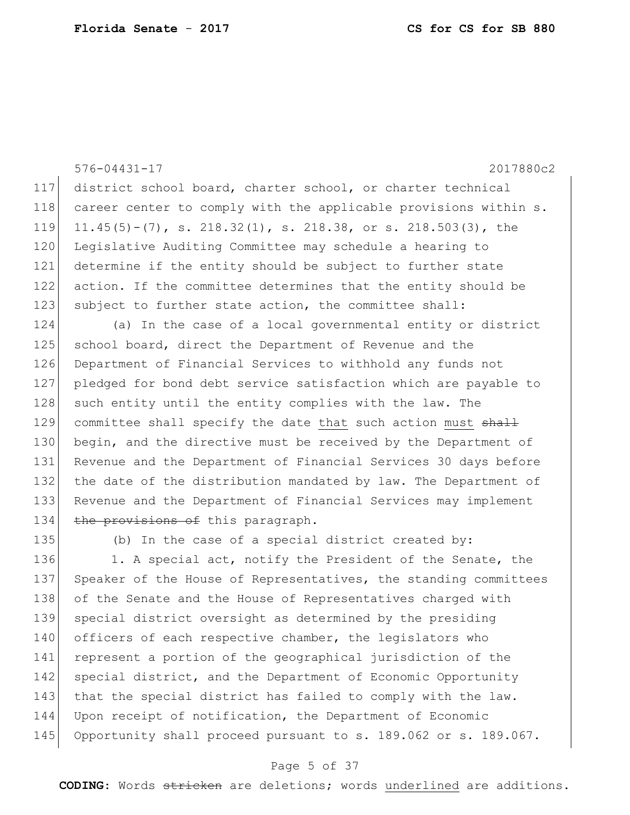```
576-04431-17 2017880c2
117 district school board, charter school, or charter technical 
118 career center to comply with the applicable provisions within s.
119 11.45(5)-(7), s. 218.32(1), s. 218.38, or s. 218.503(3), the
120 Legislative Auditing Committee may schedule a hearing to
121 determine if the entity should be subject to further state 
122 action. If the committee determines that the entity should be 
123 subject to further state action, the committee shall:
124 (a) In the case of a local governmental entity or district 
125 school board, direct the Department of Revenue and the
126 Department of Financial Services to withhold any funds not
127 pledged for bond debt service satisfaction which are payable to 
128 such entity until the entity complies with the law. The
129 committee shall specify the date that such action must shall
130 begin, and the directive must be received by the Department of 
131 Revenue and the Department of Financial Services 30 days before
132 the date of the distribution mandated by law. The Department of
133 Revenue and the Department of Financial Services may implement 
134 the provisions of this paragraph.
135 (b) In the case of a special district created by:
136 1. A special act, notify the President of the Senate, the
```
137 Speaker of the House of Representatives, the standing committees 138 of the Senate and the House of Representatives charged with 139 special district oversight as determined by the presiding 140 officers of each respective chamber, the legislators who 141 represent a portion of the geographical jurisdiction of the 142 special district, and the Department of Economic Opportunity 143 that the special district has failed to comply with the law. 144 Upon receipt of notification, the Department of Economic 145 Opportunity shall proceed pursuant to s. 189.062 or s. 189.067.

#### Page 5 of 37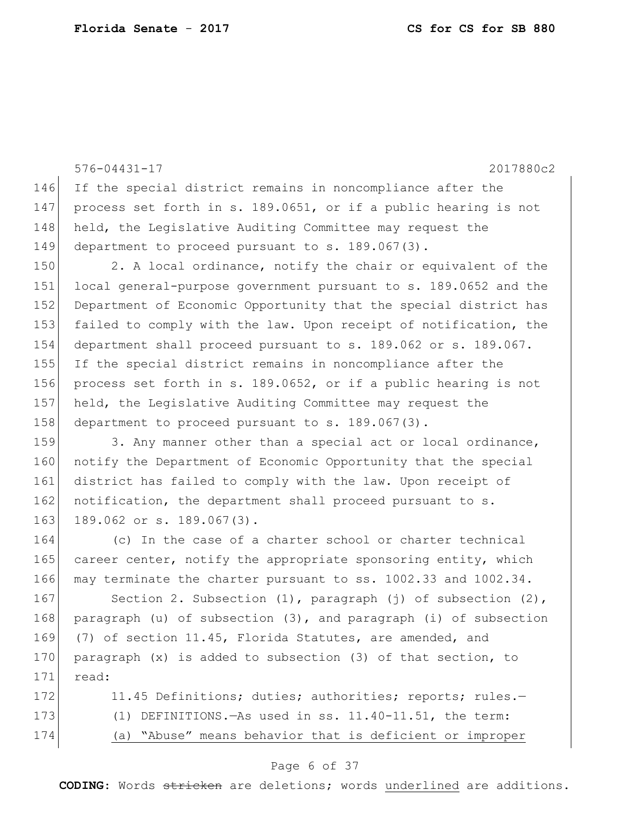```
576-04431-17 2017880c2
146 If the special district remains in noncompliance after the 
147 process set forth in s. 189.0651, or if a public hearing is not 
148 held, the Legislative Auditing Committee may request the
149 department to proceed pursuant to s. 189.067(3).
150 2. A local ordinance, notify the chair or equivalent of the
151 local general-purpose government pursuant to s. 189.0652 and the 
152 Department of Economic Opportunity that the special district has
153 failed to comply with the law. Upon receipt of notification, the
154 department shall proceed pursuant to s. 189.062 or s. 189.067. 
155 If the special district remains in noncompliance after the 
156 process set forth in s. 189.0652, or if a public hearing is not 
157 held, the Legislative Auditing Committee may request the 
158 department to proceed pursuant to s. 189.067(3).
159 3. Any manner other than a special act or local ordinance,
160 notify the Department of Economic Opportunity that the special
161 district has failed to comply with the law. Upon receipt of 
162 notification, the department shall proceed pursuant to s.
163 189.062 or s. 189.067(3).
164 (c) In the case of a charter school or charter technical
165 career center, notify the appropriate sponsoring entity, which
166 may terminate the charter pursuant to ss. 1002.33 and 1002.34.
167 Section 2. Subsection (1), paragraph (j) of subsection (2),
168 paragraph (u) of subsection (3), and paragraph (i) of subsection 
169 (7) of section 11.45, Florida Statutes, are amended, and 
170 paragraph (x) is added to subsection (3) of that section, to
171 read:
172 11.45 Definitions; duties; authorities; reports; rules.-
173 (1) DEFINITIONS.—As used in ss. 11.40-11.51, the term:
174 (a) "Abuse" means behavior that is deficient or improper
```
#### Page 6 of 37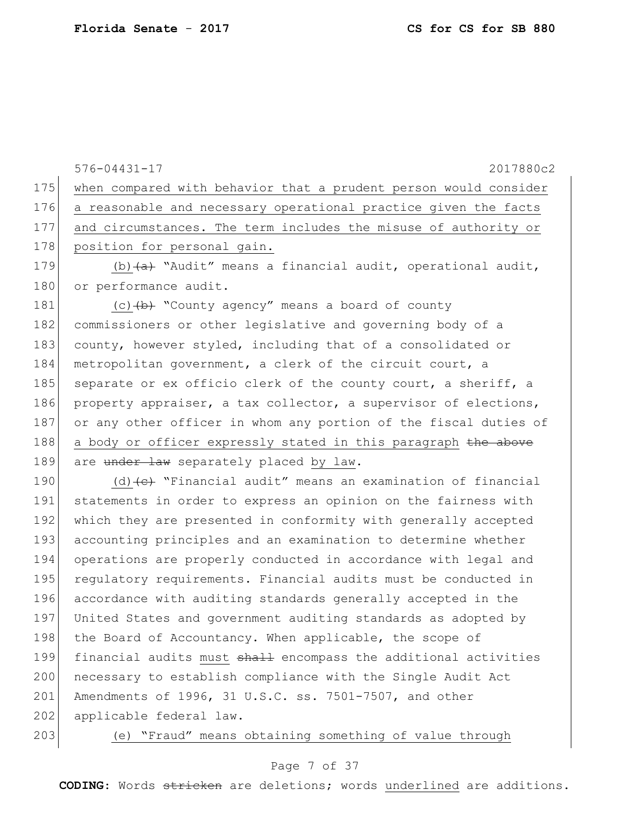|     | 2017880c2<br>576-04431-17                                                         |
|-----|-----------------------------------------------------------------------------------|
| 175 | when compared with behavior that a prudent person would consider                  |
| 176 | a reasonable and necessary operational practice given the facts                   |
| 177 | and circumstances. The term includes the misuse of authority or                   |
| 178 | position for personal gain.                                                       |
| 179 | (b) $\overline{a}$ "Audit" means a financial audit, operational audit,            |
| 180 | or performance audit.                                                             |
| 181 | (c) (b) "County agency" means a board of county                                   |
| 182 | commissioners or other legislative and governing body of a                        |
| 183 | county, however styled, including that of a consolidated or                       |
| 184 | metropolitan government, a clerk of the circuit court, a                          |
| 185 | separate or ex officio clerk of the county court, a sheriff, a                    |
| 186 | property appraiser, a tax collector, a supervisor of elections,                   |
| 187 | or any other officer in whom any portion of the fiscal duties of                  |
| 188 | a body or officer expressly stated in this paragraph the above                    |
| 189 | are under law separately placed by law.                                           |
| 190 | (d) $\left\{\epsilon\right\}$ "Financial audit" means an examination of financial |
| 191 | statements in order to express an opinion on the fairness with                    |
| 192 | which they are presented in conformity with generally accepted                    |
| 193 | accounting principles and an examination to determine whether                     |
| 194 | operations are properly conducted in accordance with legal and                    |
| 195 | requlatory requirements. Financial audits must be conducted in                    |
| 196 | accordance with auditing standards generally accepted in the                      |
| 197 | United States and government auditing standards as adopted by                     |
| 198 | the Board of Accountancy. When applicable, the scope of                           |
| 199 | financial audits must shall encompass the additional activities                   |
| 200 | necessary to establish compliance with the Single Audit Act                       |
| 201 | Amendments of 1996, 31 U.S.C. ss. 7501-7507, and other                            |
| 202 | applicable federal law.                                                           |

203 (e) "Fraud" means obtaining something of value through

### Page 7 of 37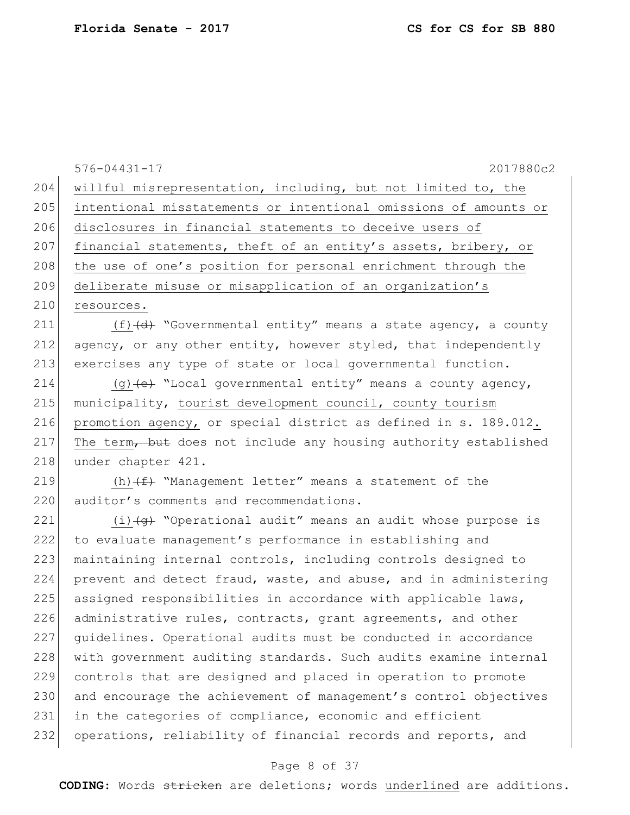|     | $576 - 04431 - 17$<br>2017880c2                                                      |
|-----|--------------------------------------------------------------------------------------|
| 204 | willful misrepresentation, including, but not limited to, the                        |
| 205 | intentional misstatements or intentional omissions of amounts or                     |
| 206 | disclosures in financial statements to deceive users of                              |
| 207 | financial statements, theft of an entity's assets, bribery, or                       |
| 208 | the use of one's position for personal enrichment through the                        |
| 209 | deliberate misuse or misapplication of an organization's                             |
| 210 | resources.                                                                           |
| 211 | (f) (d) "Governmental entity" means a state agency, a county                         |
| 212 | agency, or any other entity, however styled, that independently                      |
| 213 | exercises any type of state or local governmental function.                          |
| 214 | (g) (e) "Local governmental entity" means a county agency,                           |
| 215 | municipality, tourist development council, county tourism                            |
| 216 | promotion agency, or special district as defined in s. 189.012.                      |
| 217 | The term, but does not include any housing authority established                     |
| 218 | under chapter 421.                                                                   |
| 219 | (h) $(f)$ "Management letter" means a statement of the                               |
| 220 | auditor's comments and recommendations.                                              |
| 221 | $(i)$ $\left(\frac{1}{9}\right)$ "Operational audit" means an audit whose purpose is |
| 222 | to evaluate management's performance in establishing and                             |
| 223 | maintaining internal controls, including controls designed to                        |
| 224 | prevent and detect fraud, waste, and abuse, and in administering                     |
| 225 | assigned responsibilities in accordance with applicable laws,                        |
| 226 | administrative rules, contracts, grant agreements, and other                         |
| 227 | guidelines. Operational audits must be conducted in accordance                       |
| 228 | with government auditing standards. Such audits examine internal                     |
| 229 | controls that are designed and placed in operation to promote                        |
| 230 | and encourage the achievement of management's control objectives                     |

231 in the categories of compliance, economic and efficient 232 operations, reliability of financial records and reports, and

#### Page 8 of 37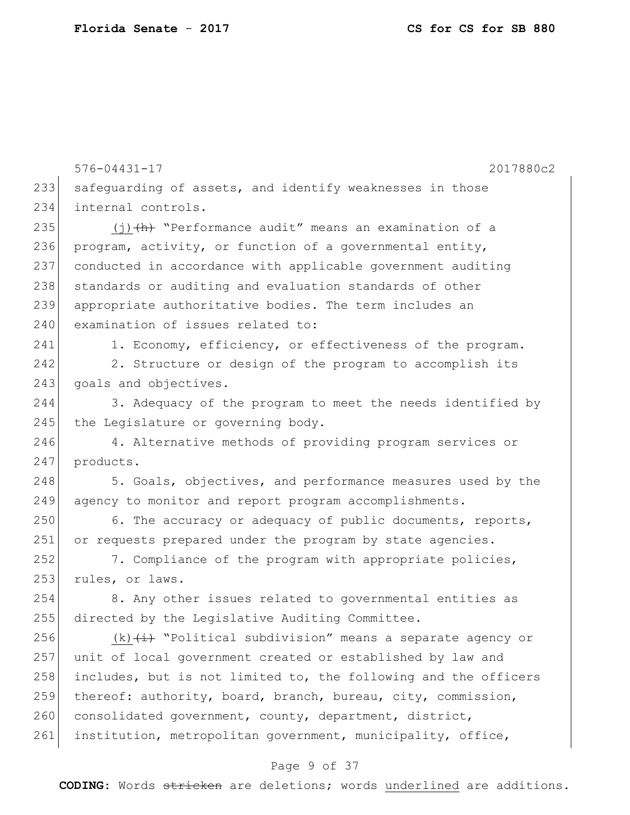576-04431-17 2017880c2 233 safeguarding of assets, and identify weaknesses in those 234 internal controls. 235  $(i)$  (i)  $(h)$  "Performance audit" means an examination of a 236 program, activity, or function of a governmental entity, 237 conducted in accordance with applicable government auditing 238 standards or auditing and evaluation standards of other 239 appropriate authoritative bodies. The term includes an 240 examination of issues related to: 241 1. Economy, efficiency, or effectiveness of the program. 242 2. Structure or design of the program to accomplish its 243 goals and objectives. 244 3. Adequacy of the program to meet the needs identified by 245 the Legislature or governing body. 246 4. Alternative methods of providing program services or 247 products. 248 5. Goals, objectives, and performance measures used by the 249 agency to monitor and report program accomplishments.  $250$  6. The accuracy or adequacy of public documents, reports, 251 or requests prepared under the program by state agencies. 252 7. Compliance of the program with appropriate policies, 253 rules, or laws. 254 8. Any other issues related to governmental entities as 255 directed by the Legislative Auditing Committee. 256  $(k)$   $(i)$   $(i)$  "Political subdivision" means a separate agency or 257 unit of local government created or established by law and 258 includes, but is not limited to, the following and the officers 259 thereof: authority, board, branch, bureau, city, commission, 260 consolidated government, county, department, district, 261 institution, metropolitan government, municipality, office,

#### Page 9 of 37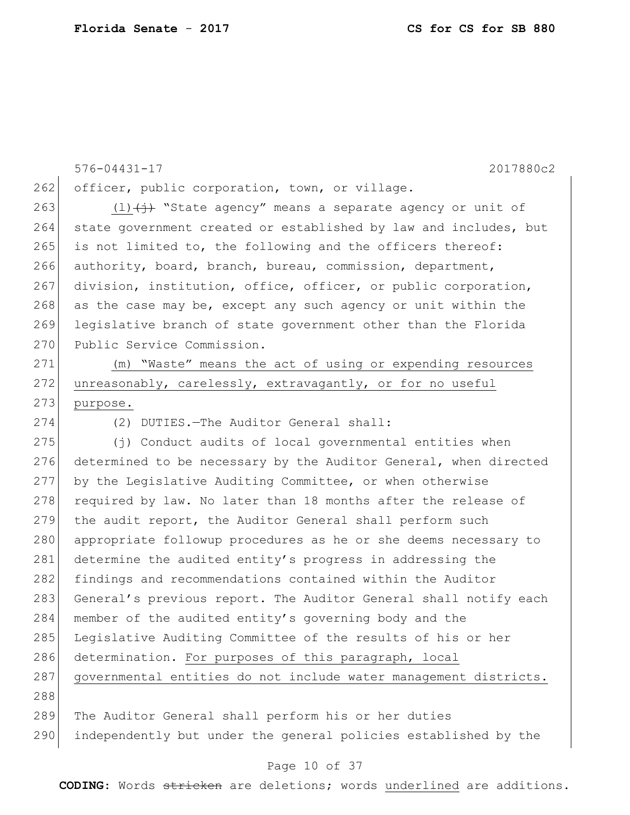576-04431-17 2017880c2 262 officer, public corporation, town, or village. 263 (1) $\left(\frac{1}{1}\right)$  "State agency" means a separate agency or unit of 264 state government created or established by law and includes, but 265 is not limited to, the following and the officers thereof: 266 authority, board, branch, bureau, commission, department, 267 division, institution, office, officer, or public corporation, 268 as the case may be, except any such agency or unit within the 269 legislative branch of state government other than the Florida 270 Public Service Commission. 271 (m) "Waste" means the act of using or expending resources 272 unreasonably, carelessly, extravagantly, or for no useful 273 purpose. 274 (2) DUTIES.—The Auditor General shall: 275 (j) Conduct audits of local governmental entities when 276 determined to be necessary by the Auditor General, when directed 277 by the Legislative Auditing Committee, or when otherwise 278 required by law. No later than 18 months after the release of 279 the audit report, the Auditor General shall perform such 280 appropriate followup procedures as he or she deems necessary to 281 determine the audited entity's progress in addressing the 282 findings and recommendations contained within the Auditor 283 General's previous report. The Auditor General shall notify each 284 member of the audited entity's governing body and the 285 Legislative Auditing Committee of the results of his or her 286 determination. For purposes of this paragraph, local 287 governmental entities do not include water management districts. 288 289 The Auditor General shall perform his or her duties 290 independently but under the general policies established by the

#### Page 10 of 37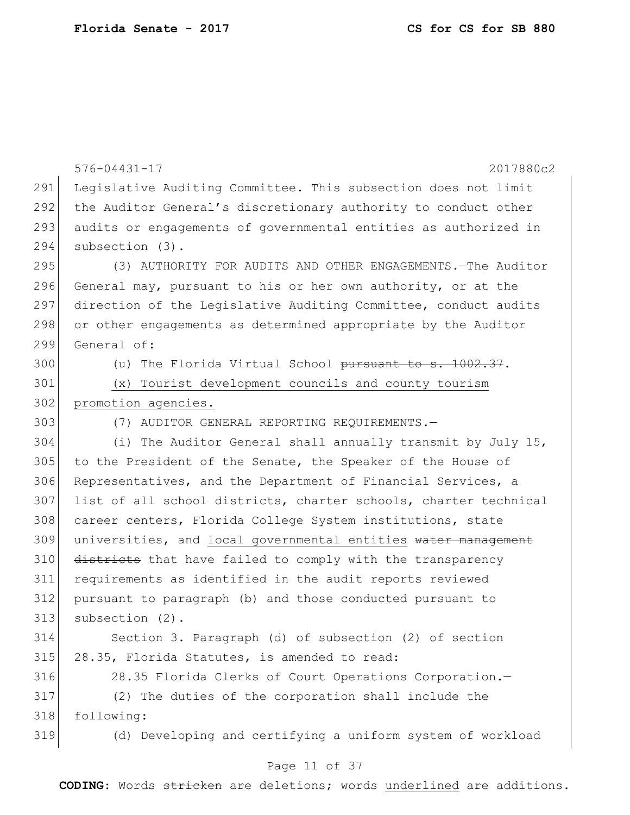|     | $576 - 04431 - 17$<br>2017880c2                                  |
|-----|------------------------------------------------------------------|
| 291 | Legislative Auditing Committee. This subsection does not limit   |
| 292 | the Auditor General's discretionary authority to conduct other   |
| 293 | audits or engagements of governmental entities as authorized in  |
| 294 | subsection (3).                                                  |
| 295 | (3) AUTHORITY FOR AUDITS AND OTHER ENGAGEMENTS. - The Auditor    |
| 296 | General may, pursuant to his or her own authority, or at the     |
| 297 | direction of the Legislative Auditing Committee, conduct audits  |
| 298 | or other engagements as determined appropriate by the Auditor    |
| 299 | General of:                                                      |
| 300 | (u) The Florida Virtual School pursuant to s. 1002.37.           |
| 301 | (x) Tourist development councils and county tourism              |
| 302 | promotion agencies.                                              |
| 303 | (7) AUDITOR GENERAL REPORTING REQUIREMENTS.-                     |
| 304 | (i) The Auditor General shall annually transmit by July 15,      |
| 305 | to the President of the Senate, the Speaker of the House of      |
| 306 | Representatives, and the Department of Financial Services, a     |
| 307 | list of all school districts, charter schools, charter technical |
| 308 | career centers, Florida College System institutions, state       |
| 309 | universities, and local governmental entities water management   |
| 310 | districts that have failed to comply with the transparency       |
| 311 | requirements as identified in the audit reports reviewed         |
| 312 | pursuant to paragraph (b) and those conducted pursuant to        |
| 313 | subsection (2).                                                  |
| 314 | Section 3. Paragraph (d) of subsection (2) of section            |
| 315 | 28.35, Florida Statutes, is amended to read:                     |
| 316 | 28.35 Florida Clerks of Court Operations Corporation.-           |
| 317 | (2) The duties of the corporation shall include the              |
| 318 | following:                                                       |
| 319 | (d) Developing and certifying a uniform system of workload       |
|     | Page 11 of 37                                                    |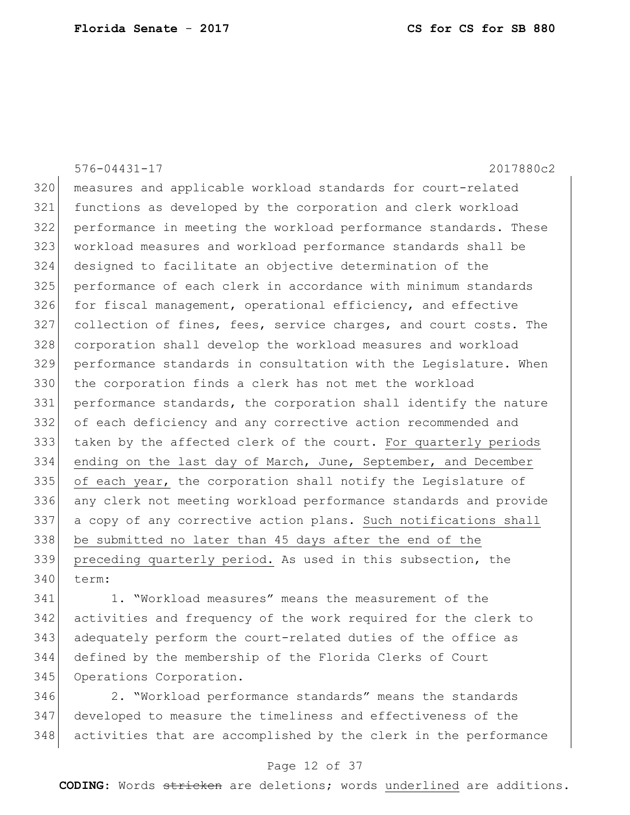576-04431-17 2017880c2 measures and applicable workload standards for court-related functions as developed by the corporation and clerk workload performance in meeting the workload performance standards. These workload measures and workload performance standards shall be designed to facilitate an objective determination of the performance of each clerk in accordance with minimum standards 326 for fiscal management, operational efficiency, and effective 327 collection of fines, fees, service charges, and court costs. The corporation shall develop the workload measures and workload performance standards in consultation with the Legislature. When the corporation finds a clerk has not met the workload performance standards, the corporation shall identify the nature of each deficiency and any corrective action recommended and taken by the affected clerk of the court. For quarterly periods 334 ending on the last day of March, June, September, and December 335 of each year, the corporation shall notify the Legislature of any clerk not meeting workload performance standards and provide a copy of any corrective action plans. Such notifications shall be submitted no later than 45 days after the end of the preceding quarterly period. As used in this subsection, the term:

 1. "Workload measures" means the measurement of the activities and frequency of the work required for the clerk to adequately perform the court-related duties of the office as defined by the membership of the Florida Clerks of Court 345 Operations Corporation.

 2. "Workload performance standards" means the standards developed to measure the timeliness and effectiveness of the activities that are accomplished by the clerk in the performance

#### Page 12 of 37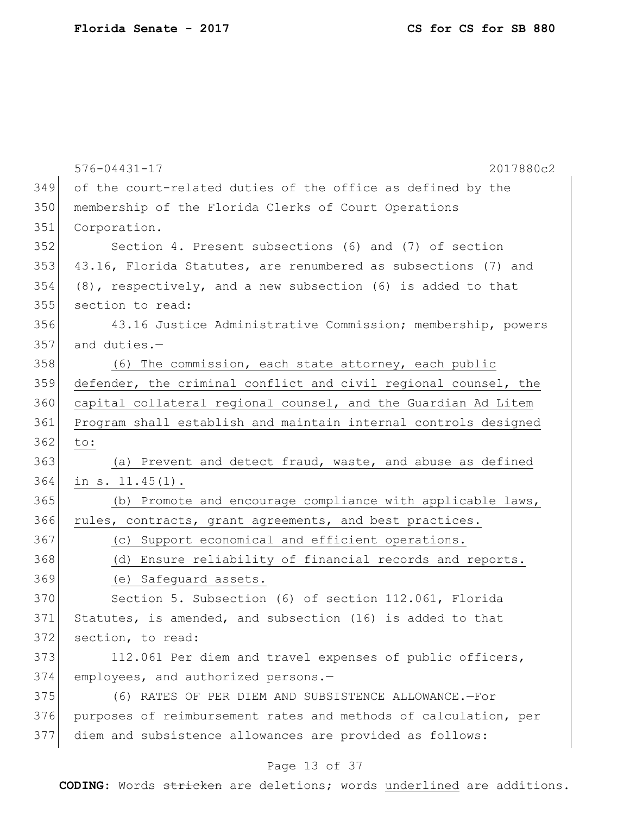|     | $576 - 04431 - 17$<br>2017880c2                                 |
|-----|-----------------------------------------------------------------|
| 349 | of the court-related duties of the office as defined by the     |
| 350 | membership of the Florida Clerks of Court Operations            |
| 351 | Corporation.                                                    |
| 352 | Section 4. Present subsections (6) and (7) of section           |
| 353 | 43.16, Florida Statutes, are renumbered as subsections (7) and  |
| 354 | (8), respectively, and a new subsection (6) is added to that    |
| 355 | section to read:                                                |
| 356 | 43.16 Justice Administrative Commission; membership, powers     |
| 357 | and duties.-                                                    |
| 358 | (6) The commission, each state attorney, each public            |
| 359 | defender, the criminal conflict and civil regional counsel, the |
| 360 | capital collateral regional counsel, and the Guardian Ad Litem  |
| 361 | Program shall establish and maintain internal controls designed |
| 362 | to:                                                             |
| 363 | (a) Prevent and detect fraud, waste, and abuse as defined       |
| 364 | in $s. 11.45(1)$ .                                              |
| 365 | (b) Promote and encourage compliance with applicable laws,      |
| 366 | rules, contracts, grant agreements, and best practices.         |
| 367 | (c) Support economical and efficient operations.                |
| 368 | (d) Ensure reliability of financial records and reports.        |
| 369 | (e) Safeguard assets.                                           |
| 370 | Section 5. Subsection (6) of section 112.061, Florida           |
| 371 | Statutes, is amended, and subsection (16) is added to that      |
| 372 | section, to read:                                               |
| 373 | 112.061 Per diem and travel expenses of public officers,        |
| 374 | employees, and authorized persons.-                             |
| 375 | (6) RATES OF PER DIEM AND SUBSISTENCE ALLOWANCE.-For            |
| 376 | purposes of reimbursement rates and methods of calculation, per |
| 377 | diem and subsistence allowances are provided as follows:        |
|     | Page 13 of 37                                                   |
|     |                                                                 |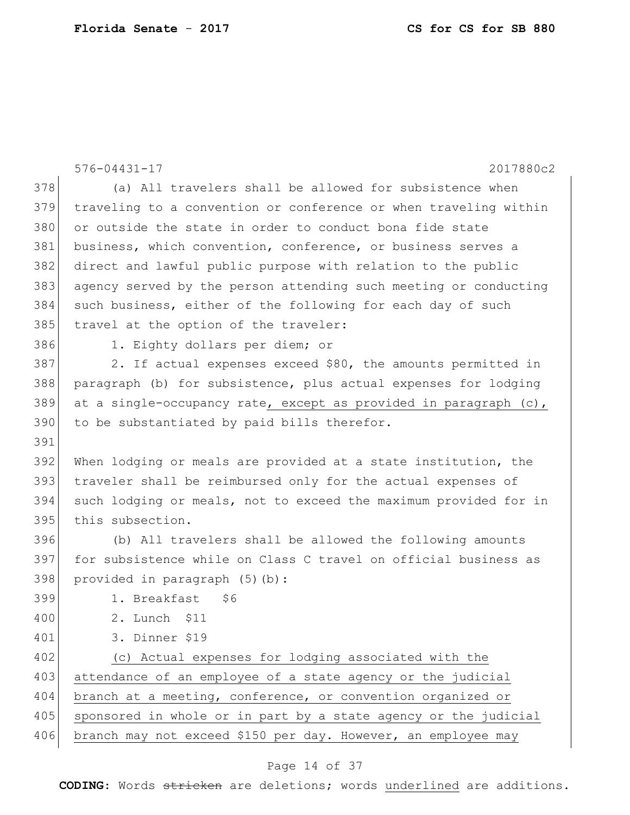| 2017880c2<br>$576 - 04431 - 17$<br>378<br>(a) All travelers shall be allowed for subsistence when<br>379<br>traveling to a convention or conference or when traveling within<br>380<br>or outside the state in order to conduct bona fide state<br>381<br>business, which convention, conference, or business serves a<br>382<br>direct and lawful public purpose with relation to the public<br>383<br>agency served by the person attending such meeting or conducting<br>384<br>such business, either of the following for each day of such<br>385<br>travel at the option of the traveler:<br>386<br>1. Eighty dollars per diem; or<br>387<br>2. If actual expenses exceed \$80, the amounts permitted in<br>388<br>paragraph (b) for subsistence, plus actual expenses for lodging<br>389<br>at a single-occupancy rate, except as provided in paragraph $(c)$ ,<br>390<br>to be substantiated by paid bills therefor.<br>391<br>392<br>When lodging or meals are provided at a state institution, the<br>393<br>traveler shall be reimbursed only for the actual expenses of<br>394<br>such lodging or meals, not to exceed the maximum provided for in<br>395<br>this subsection.<br>396<br>(b) All travelers shall be allowed the following amounts<br>397<br>for subsistence while on Class C travel on official business as<br>398<br>provided in paragraph (5)(b):<br>399<br>1. Breakfast<br>\$6<br>400<br>2. Lunch \$11<br>3. Dinner \$19<br>401<br>402<br>(c) Actual expenses for lodging associated with the<br>403<br>attendance of an employee of a state agency or the judicial<br>404<br>branch at a meeting, conference, or convention organized or<br>405<br>sponsored in whole or in part by a state agency or the judicial<br>406<br>branch may not exceed \$150 per day. However, an employee may |  |
|--------------------------------------------------------------------------------------------------------------------------------------------------------------------------------------------------------------------------------------------------------------------------------------------------------------------------------------------------------------------------------------------------------------------------------------------------------------------------------------------------------------------------------------------------------------------------------------------------------------------------------------------------------------------------------------------------------------------------------------------------------------------------------------------------------------------------------------------------------------------------------------------------------------------------------------------------------------------------------------------------------------------------------------------------------------------------------------------------------------------------------------------------------------------------------------------------------------------------------------------------------------------------------------------------------------------------------------------------------------------------------------------------------------------------------------------------------------------------------------------------------------------------------------------------------------------------------------------------------------------------------------------------------------------------------------------------------------------------------------------------------------------------------------------------------------------------|--|
|                                                                                                                                                                                                                                                                                                                                                                                                                                                                                                                                                                                                                                                                                                                                                                                                                                                                                                                                                                                                                                                                                                                                                                                                                                                                                                                                                                                                                                                                                                                                                                                                                                                                                                                                                                                                                          |  |
|                                                                                                                                                                                                                                                                                                                                                                                                                                                                                                                                                                                                                                                                                                                                                                                                                                                                                                                                                                                                                                                                                                                                                                                                                                                                                                                                                                                                                                                                                                                                                                                                                                                                                                                                                                                                                          |  |
|                                                                                                                                                                                                                                                                                                                                                                                                                                                                                                                                                                                                                                                                                                                                                                                                                                                                                                                                                                                                                                                                                                                                                                                                                                                                                                                                                                                                                                                                                                                                                                                                                                                                                                                                                                                                                          |  |
|                                                                                                                                                                                                                                                                                                                                                                                                                                                                                                                                                                                                                                                                                                                                                                                                                                                                                                                                                                                                                                                                                                                                                                                                                                                                                                                                                                                                                                                                                                                                                                                                                                                                                                                                                                                                                          |  |
|                                                                                                                                                                                                                                                                                                                                                                                                                                                                                                                                                                                                                                                                                                                                                                                                                                                                                                                                                                                                                                                                                                                                                                                                                                                                                                                                                                                                                                                                                                                                                                                                                                                                                                                                                                                                                          |  |
|                                                                                                                                                                                                                                                                                                                                                                                                                                                                                                                                                                                                                                                                                                                                                                                                                                                                                                                                                                                                                                                                                                                                                                                                                                                                                                                                                                                                                                                                                                                                                                                                                                                                                                                                                                                                                          |  |
|                                                                                                                                                                                                                                                                                                                                                                                                                                                                                                                                                                                                                                                                                                                                                                                                                                                                                                                                                                                                                                                                                                                                                                                                                                                                                                                                                                                                                                                                                                                                                                                                                                                                                                                                                                                                                          |  |
|                                                                                                                                                                                                                                                                                                                                                                                                                                                                                                                                                                                                                                                                                                                                                                                                                                                                                                                                                                                                                                                                                                                                                                                                                                                                                                                                                                                                                                                                                                                                                                                                                                                                                                                                                                                                                          |  |
|                                                                                                                                                                                                                                                                                                                                                                                                                                                                                                                                                                                                                                                                                                                                                                                                                                                                                                                                                                                                                                                                                                                                                                                                                                                                                                                                                                                                                                                                                                                                                                                                                                                                                                                                                                                                                          |  |
|                                                                                                                                                                                                                                                                                                                                                                                                                                                                                                                                                                                                                                                                                                                                                                                                                                                                                                                                                                                                                                                                                                                                                                                                                                                                                                                                                                                                                                                                                                                                                                                                                                                                                                                                                                                                                          |  |
|                                                                                                                                                                                                                                                                                                                                                                                                                                                                                                                                                                                                                                                                                                                                                                                                                                                                                                                                                                                                                                                                                                                                                                                                                                                                                                                                                                                                                                                                                                                                                                                                                                                                                                                                                                                                                          |  |
|                                                                                                                                                                                                                                                                                                                                                                                                                                                                                                                                                                                                                                                                                                                                                                                                                                                                                                                                                                                                                                                                                                                                                                                                                                                                                                                                                                                                                                                                                                                                                                                                                                                                                                                                                                                                                          |  |
|                                                                                                                                                                                                                                                                                                                                                                                                                                                                                                                                                                                                                                                                                                                                                                                                                                                                                                                                                                                                                                                                                                                                                                                                                                                                                                                                                                                                                                                                                                                                                                                                                                                                                                                                                                                                                          |  |
|                                                                                                                                                                                                                                                                                                                                                                                                                                                                                                                                                                                                                                                                                                                                                                                                                                                                                                                                                                                                                                                                                                                                                                                                                                                                                                                                                                                                                                                                                                                                                                                                                                                                                                                                                                                                                          |  |
|                                                                                                                                                                                                                                                                                                                                                                                                                                                                                                                                                                                                                                                                                                                                                                                                                                                                                                                                                                                                                                                                                                                                                                                                                                                                                                                                                                                                                                                                                                                                                                                                                                                                                                                                                                                                                          |  |
|                                                                                                                                                                                                                                                                                                                                                                                                                                                                                                                                                                                                                                                                                                                                                                                                                                                                                                                                                                                                                                                                                                                                                                                                                                                                                                                                                                                                                                                                                                                                                                                                                                                                                                                                                                                                                          |  |
|                                                                                                                                                                                                                                                                                                                                                                                                                                                                                                                                                                                                                                                                                                                                                                                                                                                                                                                                                                                                                                                                                                                                                                                                                                                                                                                                                                                                                                                                                                                                                                                                                                                                                                                                                                                                                          |  |
|                                                                                                                                                                                                                                                                                                                                                                                                                                                                                                                                                                                                                                                                                                                                                                                                                                                                                                                                                                                                                                                                                                                                                                                                                                                                                                                                                                                                                                                                                                                                                                                                                                                                                                                                                                                                                          |  |
|                                                                                                                                                                                                                                                                                                                                                                                                                                                                                                                                                                                                                                                                                                                                                                                                                                                                                                                                                                                                                                                                                                                                                                                                                                                                                                                                                                                                                                                                                                                                                                                                                                                                                                                                                                                                                          |  |
|                                                                                                                                                                                                                                                                                                                                                                                                                                                                                                                                                                                                                                                                                                                                                                                                                                                                                                                                                                                                                                                                                                                                                                                                                                                                                                                                                                                                                                                                                                                                                                                                                                                                                                                                                                                                                          |  |
|                                                                                                                                                                                                                                                                                                                                                                                                                                                                                                                                                                                                                                                                                                                                                                                                                                                                                                                                                                                                                                                                                                                                                                                                                                                                                                                                                                                                                                                                                                                                                                                                                                                                                                                                                                                                                          |  |
|                                                                                                                                                                                                                                                                                                                                                                                                                                                                                                                                                                                                                                                                                                                                                                                                                                                                                                                                                                                                                                                                                                                                                                                                                                                                                                                                                                                                                                                                                                                                                                                                                                                                                                                                                                                                                          |  |
|                                                                                                                                                                                                                                                                                                                                                                                                                                                                                                                                                                                                                                                                                                                                                                                                                                                                                                                                                                                                                                                                                                                                                                                                                                                                                                                                                                                                                                                                                                                                                                                                                                                                                                                                                                                                                          |  |
|                                                                                                                                                                                                                                                                                                                                                                                                                                                                                                                                                                                                                                                                                                                                                                                                                                                                                                                                                                                                                                                                                                                                                                                                                                                                                                                                                                                                                                                                                                                                                                                                                                                                                                                                                                                                                          |  |
|                                                                                                                                                                                                                                                                                                                                                                                                                                                                                                                                                                                                                                                                                                                                                                                                                                                                                                                                                                                                                                                                                                                                                                                                                                                                                                                                                                                                                                                                                                                                                                                                                                                                                                                                                                                                                          |  |
|                                                                                                                                                                                                                                                                                                                                                                                                                                                                                                                                                                                                                                                                                                                                                                                                                                                                                                                                                                                                                                                                                                                                                                                                                                                                                                                                                                                                                                                                                                                                                                                                                                                                                                                                                                                                                          |  |
|                                                                                                                                                                                                                                                                                                                                                                                                                                                                                                                                                                                                                                                                                                                                                                                                                                                                                                                                                                                                                                                                                                                                                                                                                                                                                                                                                                                                                                                                                                                                                                                                                                                                                                                                                                                                                          |  |
|                                                                                                                                                                                                                                                                                                                                                                                                                                                                                                                                                                                                                                                                                                                                                                                                                                                                                                                                                                                                                                                                                                                                                                                                                                                                                                                                                                                                                                                                                                                                                                                                                                                                                                                                                                                                                          |  |
|                                                                                                                                                                                                                                                                                                                                                                                                                                                                                                                                                                                                                                                                                                                                                                                                                                                                                                                                                                                                                                                                                                                                                                                                                                                                                                                                                                                                                                                                                                                                                                                                                                                                                                                                                                                                                          |  |
|                                                                                                                                                                                                                                                                                                                                                                                                                                                                                                                                                                                                                                                                                                                                                                                                                                                                                                                                                                                                                                                                                                                                                                                                                                                                                                                                                                                                                                                                                                                                                                                                                                                                                                                                                                                                                          |  |

# Page 14 of 37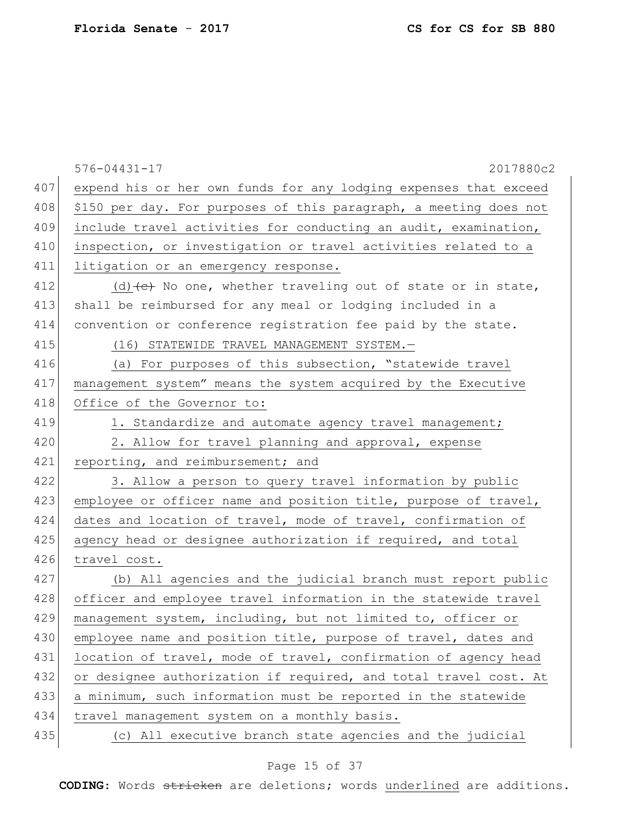|     | $576 - 04431 - 17$<br>2017880c2                                   |
|-----|-------------------------------------------------------------------|
| 407 | expend his or her own funds for any lodging expenses that exceed  |
| 408 | \$150 per day. For purposes of this paragraph, a meeting does not |
| 409 | include travel activities for conducting an audit, examination,   |
| 410 | inspection, or investigation or travel activities related to a    |
| 411 | litigation or an emergency response.                              |
| 412 | (d) $(e)$ No one, whether traveling out of state or in state,     |
| 413 | shall be reimbursed for any meal or lodging included in a         |
| 414 | convention or conference registration fee paid by the state.      |
| 415 | (16) STATEWIDE TRAVEL MANAGEMENT SYSTEM.-                         |
| 416 | (a) For purposes of this subsection, "statewide travel            |
| 417 | management system" means the system acquired by the Executive     |
| 418 | Office of the Governor to:                                        |
| 419 | 1. Standardize and automate agency travel management;             |
| 420 | 2. Allow for travel planning and approval, expense                |
| 421 | reporting, and reimbursement; and                                 |
| 422 | 3. Allow a person to query travel information by public           |
| 423 | employee or officer name and position title, purpose of travel,   |
| 424 | dates and location of travel, mode of travel, confirmation of     |
| 425 | agency head or designee authorization if required, and total      |
| 426 | travel cost.                                                      |
| 427 | (b) All agencies and the judicial branch must report public       |
| 428 | officer and employee travel information in the statewide travel   |
| 429 | management system, including, but not limited to, officer or      |
| 430 | employee name and position title, purpose of travel, dates and    |
| 431 | location of travel, mode of travel, confirmation of agency head   |
| 432 | or designee authorization if required, and total travel cost. At  |
| 433 | a minimum, such information must be reported in the statewide     |
| 434 | travel management system on a monthly basis.                      |
| 435 | (c) All executive branch state agencies and the judicial          |

# Page 15 of 37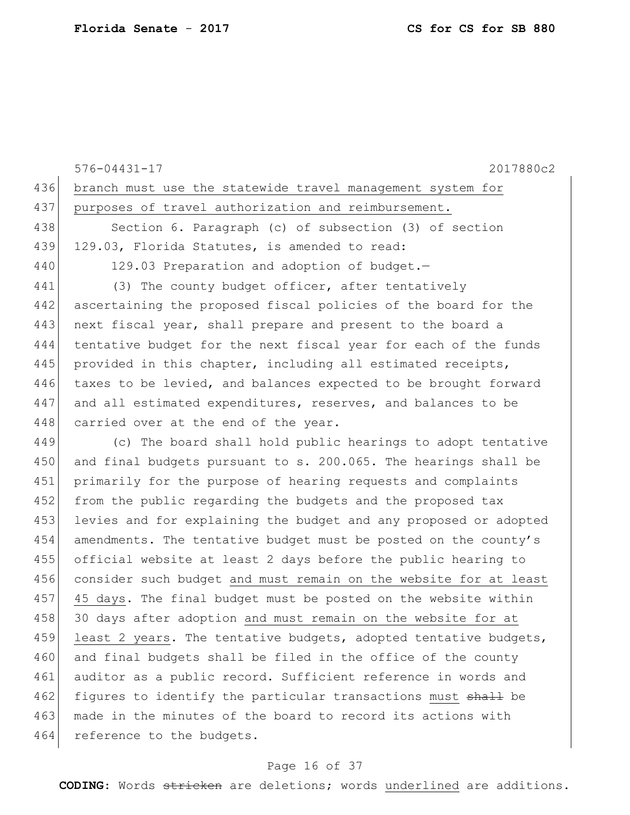|     | 2017880c2<br>$576 - 04431 - 17$                                  |
|-----|------------------------------------------------------------------|
| 436 | branch must use the statewide travel management system for       |
| 437 | purposes of travel authorization and reimbursement.              |
| 438 | Section 6. Paragraph (c) of subsection (3) of section            |
| 439 | 129.03, Florida Statutes, is amended to read:                    |
| 440 | 129.03 Preparation and adoption of budget.-                      |
| 441 | (3) The county budget officer, after tentatively                 |
| 442 | ascertaining the proposed fiscal policies of the board for the   |
| 443 | next fiscal year, shall prepare and present to the board a       |
| 444 | tentative budget for the next fiscal year for each of the funds  |
| 445 | provided in this chapter, including all estimated receipts,      |
| 446 | taxes to be levied, and balances expected to be brought forward  |
| 447 | and all estimated expenditures, reserves, and balances to be     |
| 448 | carried over at the end of the year.                             |
| 449 | (c) The board shall hold public hearings to adopt tentative      |
| 450 | and final budgets pursuant to s. 200.065. The hearings shall be  |
| 451 | primarily for the purpose of hearing requests and complaints     |
| 452 | from the public regarding the budgets and the proposed tax       |
| 453 | levies and for explaining the budget and any proposed or adopted |
| 454 | amendments. The tentative budget must be posted on the county's  |
| 455 | official website at least 2 days before the public hearing to    |
| 456 | consider such budget and must remain on the website for at least |
| 457 | 45 days. The final budget must be posted on the website within   |
| 458 | 30 days after adoption and must remain on the website for at     |
| 459 | least 2 years. The tentative budgets, adopted tentative budgets, |
| 460 | and final budgets shall be filed in the office of the county     |
| 461 | auditor as a public record. Sufficient reference in words and    |
| 462 | figures to identify the particular transactions must shall be    |
| 463 | made in the minutes of the board to record its actions with      |
| 464 | reference to the budgets.                                        |
|     |                                                                  |

# Page 16 of 37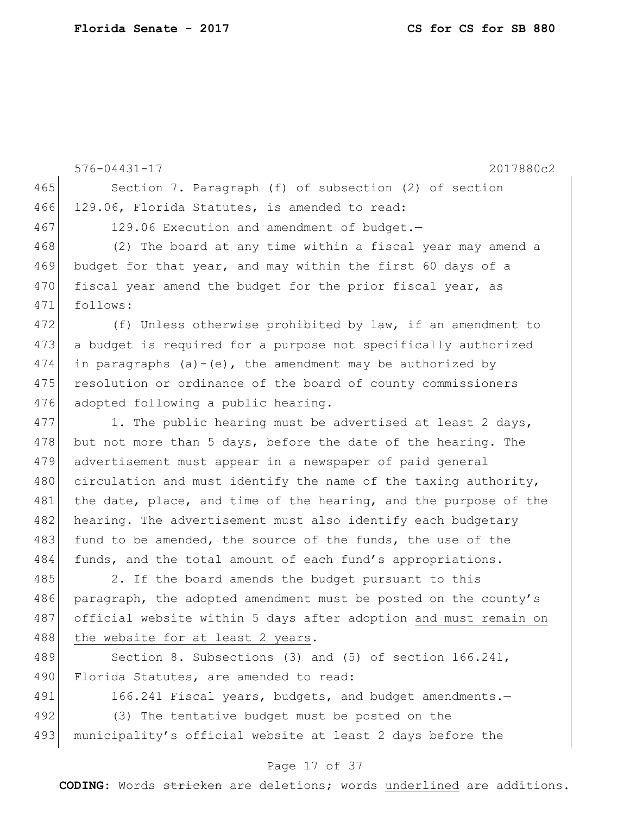576-04431-17 2017880c2 465 Section 7. Paragraph (f) of subsection (2) of section 466 129.06, Florida Statutes, is amended to read: 467 129.06 Execution and amendment of budget.-468 (2) The board at any time within a fiscal year may amend a 469 budget for that year, and may within the first 60 days of a 470 fiscal year amend the budget for the prior fiscal year, as 471 follows: 472 (f) Unless otherwise prohibited by law, if an amendment to 473 a budget is required for a purpose not specifically authorized 474 in paragraphs (a)-(e), the amendment may be authorized by 475 resolution or ordinance of the board of county commissioners 476 adopted following a public hearing. 477 1. The public hearing must be advertised at least 2 days, 478 but not more than 5 days, before the date of the hearing. The 479 advertisement must appear in a newspaper of paid general 480 circulation and must identify the name of the taxing authority, 481 the date, place, and time of the hearing, and the purpose of the 482 hearing. The advertisement must also identify each budgetary 483 fund to be amended, the source of the funds, the use of the 484 funds, and the total amount of each fund's appropriations. 485 2. If the board amends the budget pursuant to this 486 paragraph, the adopted amendment must be posted on the county's 487 official website within 5 days after adoption and must remain on 488 the website for at least 2 years. 489 Section 8. Subsections (3) and (5) of section 166.241, 490 Florida Statutes, are amended to read: 491 166.241 Fiscal years, budgets, and budget amendments. 492 (3) The tentative budget must be posted on the 493 municipality's official website at least 2 days before the

#### Page 17 of 37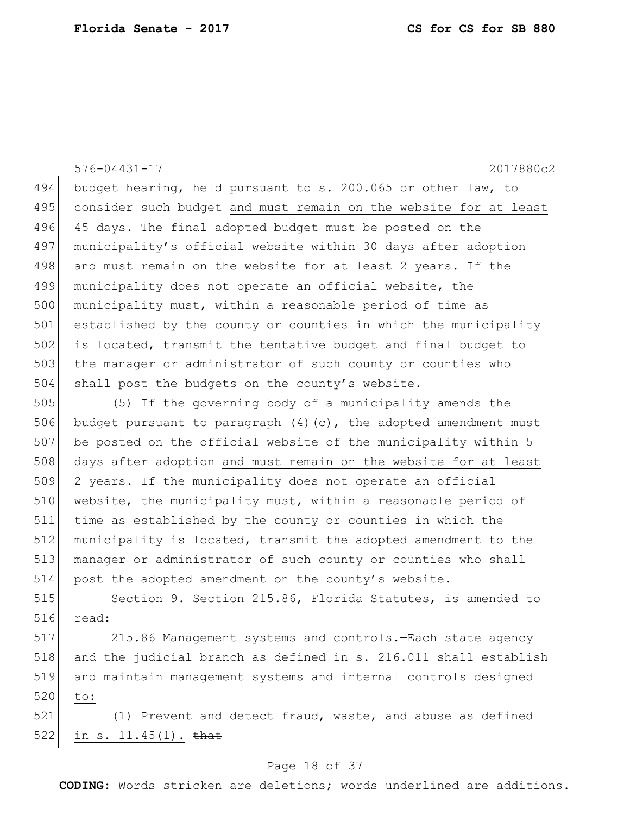576-04431-17 2017880c2 494 budget hearing, held pursuant to s. 200.065 or other law, to 495 consider such budget and must remain on the website for at least 496 45 days. The final adopted budget must be posted on the 497 municipality's official website within 30 days after adoption 498 and must remain on the website for at least 2 years. If the 499 municipality does not operate an official website, the 500 municipality must, within a reasonable period of time as 501 established by the county or counties in which the municipality 502 is located, transmit the tentative budget and final budget to 503 the manager or administrator of such county or counties who 504 shall post the budgets on the county's website.

505 (5) If the governing body of a municipality amends the 506 budget pursuant to paragraph  $(4)$  (c), the adopted amendment must 507 be posted on the official website of the municipality within 5 508 days after adoption and must remain on the website for at least 509 2 years. If the municipality does not operate an official 510 website, the municipality must, within a reasonable period of 511 time as established by the county or counties in which the 512 municipality is located, transmit the adopted amendment to the 513 manager or administrator of such county or counties who shall 514 post the adopted amendment on the county's website.

515 Section 9. Section 215.86, Florida Statutes, is amended to 516 read:

 215.86 Management systems and controls.—Each state agency and the judicial branch as defined in s. 216.011 shall establish and maintain management systems and internal controls designed 520 to:

521 (1) Prevent and detect fraud, waste, and abuse as defined 522 in s.  $11.45(1)$ . that

#### Page 18 of 37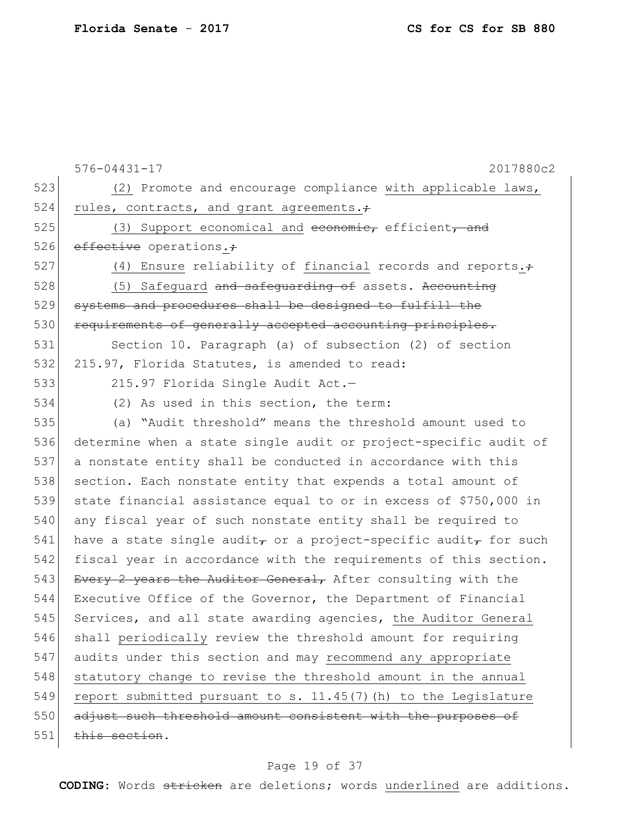|     | $576 - 04431 - 17$<br>2017880c2                                                          |
|-----|------------------------------------------------------------------------------------------|
| 523 | (2) Promote and encourage compliance with applicable laws,                               |
| 524 | rules, contracts, and grant agreements.+                                                 |
| 525 | (3) Support economical and economic, efficient, and                                      |
| 526 | effective operations.                                                                    |
| 527 | (4) Ensure reliability of financial records and reports. $\div$                          |
| 528 | (5) Safequard and safequarding of assets. Accounting                                     |
| 529 | systems and procedures shall be designed to fulfill the                                  |
| 530 | requirements of generally accepted accounting principles.                                |
| 531 | Section 10. Paragraph (a) of subsection (2) of section                                   |
| 532 | 215.97, Florida Statutes, is amended to read:                                            |
| 533 | 215.97 Florida Single Audit Act.-                                                        |
| 534 | (2) As used in this section, the term:                                                   |
| 535 | (a) "Audit threshold" means the threshold amount used to                                 |
| 536 | determine when a state single audit or project-specific audit of                         |
| 537 | a nonstate entity shall be conducted in accordance with this                             |
| 538 | section. Each nonstate entity that expends a total amount of                             |
| 539 | state financial assistance equal to or in excess of \$750,000 in                         |
| 540 | any fiscal year of such nonstate entity shall be required to                             |
| 541 | have a state single audit <sub>r</sub> or a project-specific audit <sub>r</sub> for such |
| 542 | fiscal year in accordance with the requirements of this section.                         |
| 543 | Every 2 years the Auditor General, After consulting with the                             |
| 544 | Executive Office of the Governor, the Department of Financial                            |
| 545 | Services, and all state awarding agencies, the Auditor General                           |
| 546 | shall periodically review the threshold amount for requiring                             |
| 547 | audits under this section and may recommend any appropriate                              |
| 548 | statutory change to revise the threshold amount in the annual                            |
| 549 | report submitted pursuant to s. 11.45(7) (h) to the Legislature                          |
| 550 | adjust such threshold amount consistent with the purposes of                             |
| 551 | this section.                                                                            |
|     |                                                                                          |

# Page 19 of 37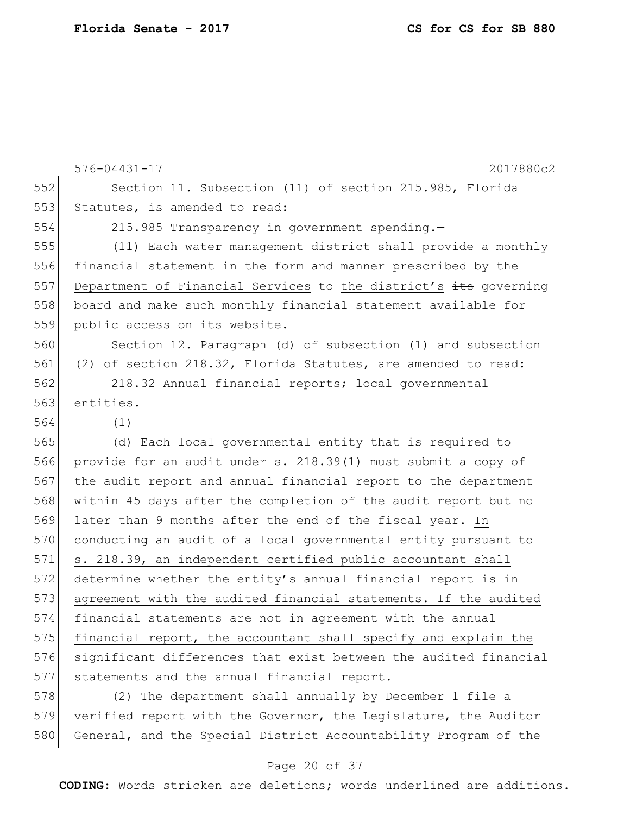576-04431-17 2017880c2 552 Section 11. Subsection (11) of section 215.985, Florida 553 Statutes, is amended to read: 554 215.985 Transparency in government spending.— 555 (11) Each water management district shall provide a monthly 556 financial statement in the form and manner prescribed by the 557 Department of Financial Services to the district's its governing 558 board and make such monthly financial statement available for 559 public access on its website. 560 Section 12. Paragraph (d) of subsection (1) and subsection 561 (2) of section 218.32, Florida Statutes, are amended to read: 562 218.32 Annual financial reports; local governmental 563 entities.-564 (1) 565 (d) Each local governmental entity that is required to 566 provide for an audit under s. 218.39(1) must submit a copy of 567 the audit report and annual financial report to the department 568 within 45 days after the completion of the audit report but no 569 later than 9 months after the end of the fiscal year. In 570 conducting an audit of a local governmental entity pursuant to 571 s. 218.39, an independent certified public accountant shall 572 determine whether the entity's annual financial report is in 573 agreement with the audited financial statements. If the audited 574 financial statements are not in agreement with the annual 575 financial report, the accountant shall specify and explain the 576 significant differences that exist between the audited financial 577 statements and the annual financial report. 578 (2) The department shall annually by December 1 file a

579 verified report with the Governor, the Legislature, the Auditor 580 General, and the Special District Accountability Program of the

#### Page 20 of 37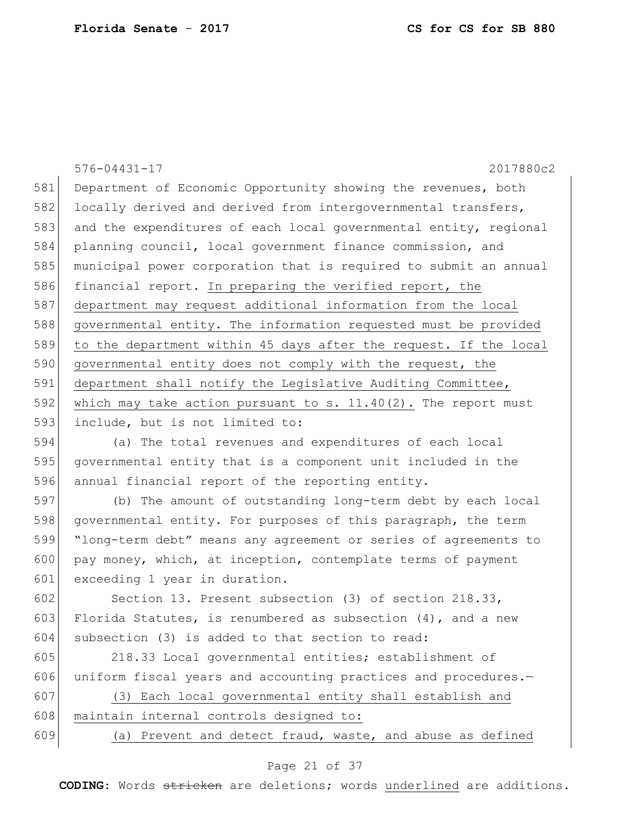576-04431-17 2017880c2 581 Department of Economic Opportunity showing the revenues, both 582 locally derived and derived from intergovernmental transfers, 583 and the expenditures of each local governmental entity, regional 584 planning council, local government finance commission, and 585 municipal power corporation that is required to submit an annual 586 financial report. In preparing the verified report, the 587 department may request additional information from the local 588 governmental entity. The information requested must be provided 589 to the department within 45 days after the request. If the local 590 governmental entity does not comply with the request, the 591 department shall notify the Legislative Auditing Committee, 592 which may take action pursuant to s.  $11.40(2)$ . The report must 593 include, but is not limited to: 594 (a) The total revenues and expenditures of each local

595 governmental entity that is a component unit included in the 596 annual financial report of the reporting entity.

597 (b) The amount of outstanding long-term debt by each local 598 governmental entity. For purposes of this paragraph, the term 599 "long-term debt" means any agreement or series of agreements to 600 pay money, which, at inception, contemplate terms of payment 601 exceeding 1 year in duration.

602 Section 13. Present subsection (3) of section 218.33, 603 Florida Statutes, is renumbered as subsection  $(4)$ , and a new 604 subsection (3) is added to that section to read:

605 218.33 Local governmental entities; establishment of 606 uniform fiscal years and accounting practices and procedures.-

607 (3) Each local governmental entity shall establish and 608 maintain internal controls designed to:

609 (a) Prevent and detect fraud, waste, and abuse as defined

#### Page 21 of 37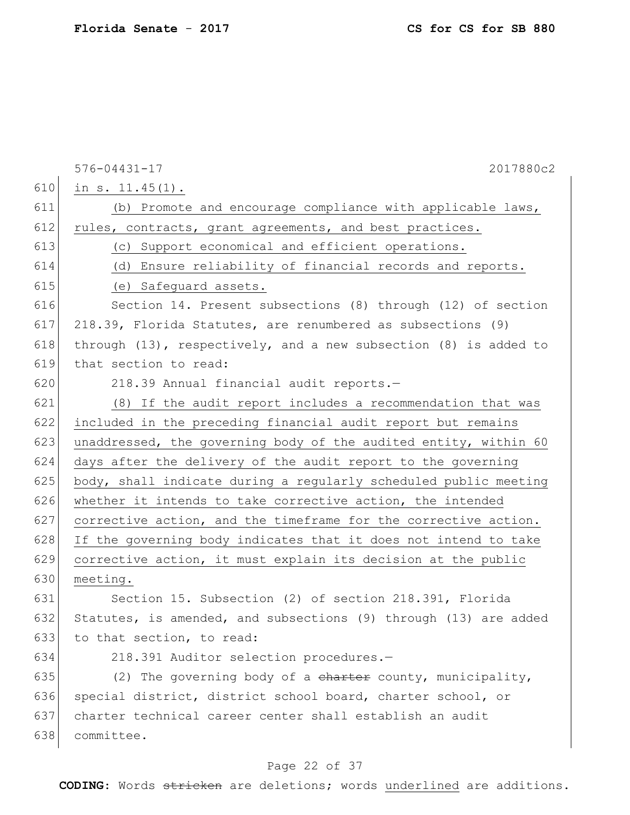|     | $576 - 04431 - 17$<br>2017880c2                                       |
|-----|-----------------------------------------------------------------------|
| 610 | in $s. 11.45(1)$ .                                                    |
| 611 | (b) Promote and encourage compliance with applicable laws,            |
| 612 | rules, contracts, grant agreements, and best practices.               |
| 613 | (c) Support economical and efficient operations.                      |
| 614 | (d) Ensure reliability of financial records and reports.              |
| 615 | (e) Safequard assets.                                                 |
| 616 | Section 14. Present subsections (8) through (12) of section           |
| 617 | 218.39, Florida Statutes, are renumbered as subsections (9)           |
| 618 | through $(13)$ , respectively, and a new subsection $(8)$ is added to |
| 619 | that section to read:                                                 |
| 620 | 218.39 Annual financial audit reports.-                               |
| 621 | (8) If the audit report includes a recommendation that was            |
| 622 | included in the preceding financial audit report but remains          |
| 623 | unaddressed, the governing body of the audited entity, within 60      |
| 624 | days after the delivery of the audit report to the governing          |
| 625 | body, shall indicate during a regularly scheduled public meeting      |
| 626 | whether it intends to take corrective action, the intended            |
| 627 | corrective action, and the timeframe for the corrective action.       |
| 628 | If the governing body indicates that it does not intend to take       |
| 629 | corrective action, it must explain its decision at the public         |
| 630 | meeting.                                                              |
| 631 | Section 15. Subsection (2) of section 218.391, Florida                |
| 632 | Statutes, is amended, and subsections (9) through (13) are added      |
| 633 | to that section, to read:                                             |
| 634 | 218.391 Auditor selection procedures.-                                |
| 635 | (2) The governing body of a charter county, municipality,             |
| 636 | special district, district school board, charter school, or           |
| 637 | charter technical career center shall establish an audit              |
| 638 | committee.                                                            |

# Page 22 of 37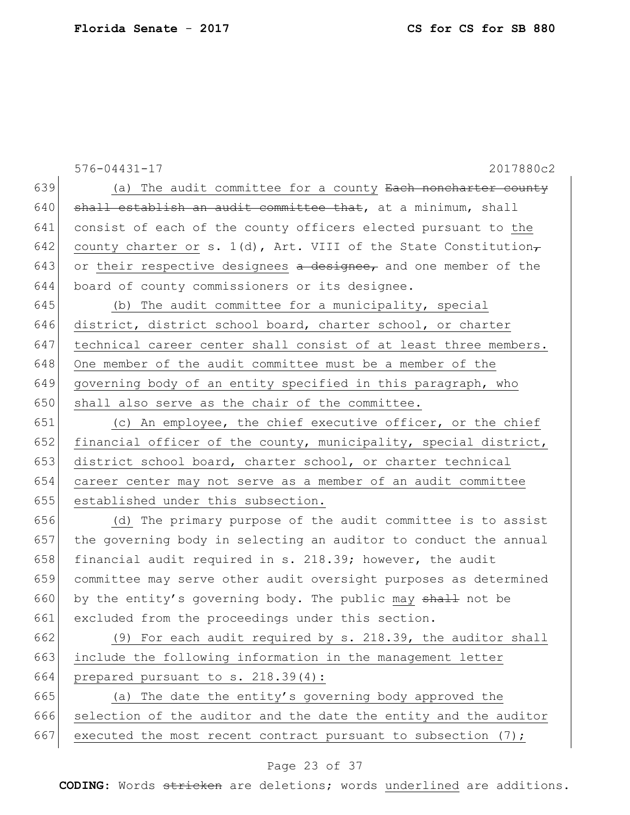|     | $576 - 04431 - 17$<br>2017880c2                                    |
|-----|--------------------------------------------------------------------|
| 639 | (a) The audit committee for a county Each noncharter county        |
| 640 | shall establish an audit committee that, at a minimum, shall       |
| 641 | consist of each of the county officers elected pursuant to the     |
| 642 | county charter or s. $1(d)$ , Art. VIII of the State Constitution, |
| 643 | or their respective designees a designee, and one member of the    |
| 644 | board of county commissioners or its designee.                     |
| 645 | (b) The audit committee for a municipality, special                |
| 646 | district, district school board, charter school, or charter        |
| 647 | technical career center shall consist of at least three members.   |
| 648 | One member of the audit committee must be a member of the          |
| 649 | governing body of an entity specified in this paragraph, who       |
| 650 | shall also serve as the chair of the committee.                    |
| 651 | (c) An employee, the chief executive officer, or the chief         |
| 652 | financial officer of the county, municipality, special district,   |
| 653 | district school board, charter school, or charter technical        |
| 654 | career center may not serve as a member of an audit committee      |
| 655 | established under this subsection.                                 |
| 656 | (d) The primary purpose of the audit committee is to assist        |
| 657 | the governing body in selecting an auditor to conduct the annual   |
| 658 | financial audit required in s. 218.39; however, the audit          |
| 659 | committee may serve other audit oversight purposes as determined   |
| 660 | by the entity's governing body. The public may shall not be        |
| 661 | excluded from the proceedings under this section.                  |
| 662 | (9) For each audit required by s. 218.39, the auditor shall        |
| 663 | include the following information in the management letter         |
| 664 | prepared pursuant to s. 218.39(4):                                 |
| 665 | (a) The date the entity's governing body approved the              |
| 666 | selection of the auditor and the date the entity and the auditor   |
| 667 | executed the most recent contract pursuant to subsection $(7)$ ;   |

# Page 23 of 37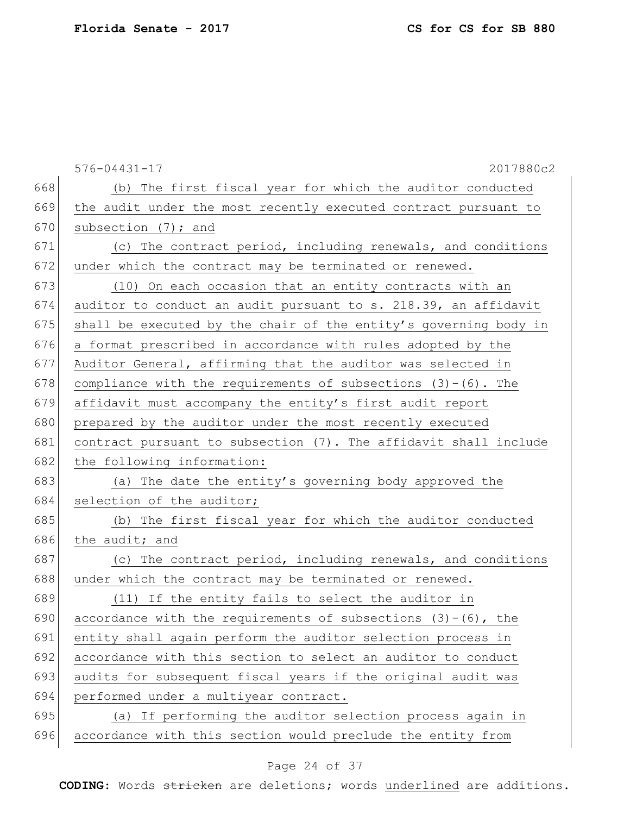|     | $576 - 04431 - 17$<br>2017880c2                                   |
|-----|-------------------------------------------------------------------|
| 668 | (b) The first fiscal year for which the auditor conducted         |
| 669 | the audit under the most recently executed contract pursuant to   |
| 670 | subsection $(7)$ ; and                                            |
| 671 | (c) The contract period, including renewals, and conditions       |
| 672 | under which the contract may be terminated or renewed.            |
| 673 | (10) On each occasion that an entity contracts with an            |
| 674 | auditor to conduct an audit pursuant to s. 218.39, an affidavit   |
| 675 | shall be executed by the chair of the entity's governing body in  |
| 676 | a format prescribed in accordance with rules adopted by the       |
| 677 | Auditor General, affirming that the auditor was selected in       |
| 678 | compliance with the requirements of subsections $(3)-(6)$ . The   |
| 679 | affidavit must accompany the entity's first audit report          |
| 680 | prepared by the auditor under the most recently executed          |
| 681 | contract pursuant to subsection (7). The affidavit shall include  |
| 682 | the following information:                                        |
| 683 | (a) The date the entity's governing body approved the             |
| 684 | selection of the auditor;                                         |
| 685 | (b) The first fiscal year for which the auditor conducted         |
| 686 | the audit; and                                                    |
| 687 | (c) The contract period, including renewals, and conditions       |
| 688 | under which the contract may be terminated or renewed.            |
| 689 | (11) If the entity fails to select the auditor in                 |
| 690 | accordance with the requirements of subsections $(3) - (6)$ , the |
| 691 | entity shall again perform the auditor selection process in       |
| 692 | accordance with this section to select an auditor to conduct      |
| 693 | audits for subsequent fiscal years if the original audit was      |
| 694 | performed under a multiyear contract.                             |
| 695 | (a) If performing the auditor selection process again in          |
| 696 | accordance with this section would preclude the entity from       |

# Page 24 of 37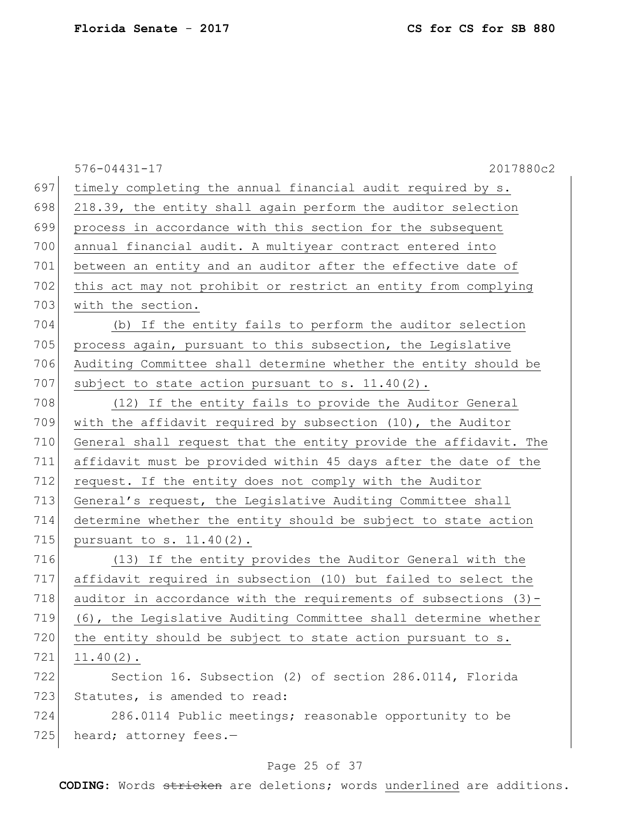|     | $576 - 04431 - 17$<br>2017880c2                                  |
|-----|------------------------------------------------------------------|
| 697 | timely completing the annual financial audit required by s.      |
| 698 | 218.39, the entity shall again perform the auditor selection     |
| 699 | process in accordance with this section for the subsequent       |
| 700 | annual financial audit. A multiyear contract entered into        |
| 701 | between an entity and an auditor after the effective date of     |
| 702 | this act may not prohibit or restrict an entity from complying   |
| 703 | with the section.                                                |
| 704 | (b) If the entity fails to perform the auditor selection         |
| 705 | process again, pursuant to this subsection, the Legislative      |
| 706 | Auditing Committee shall determine whether the entity should be  |
| 707 | subject to state action pursuant to s. 11.40(2).                 |
| 708 | (12) If the entity fails to provide the Auditor General          |
| 709 | with the affidavit required by subsection $(10)$ , the Auditor   |
| 710 | General shall request that the entity provide the affidavit. The |
| 711 | affidavit must be provided within 45 days after the date of the  |
| 712 | request. If the entity does not comply with the Auditor          |
| 713 | General's request, the Legislative Auditing Committee shall      |
| 714 | determine whether the entity should be subject to state action   |
| 715 | pursuant to s. $11.40(2)$ .                                      |
| 716 | (13) If the entity provides the Auditor General with the         |
| 717 | affidavit required in subsection (10) but failed to select the   |
| 718 | auditor in accordance with the requirements of subsections (3)-  |
| 719 | (6), the Legislative Auditing Committee shall determine whether  |
| 720 | the entity should be subject to state action pursuant to s.      |
| 721 | $11.40(2)$ .                                                     |
| 722 | Section 16. Subsection (2) of section 286.0114, Florida          |
| 723 | Statutes, is amended to read:                                    |
| 724 | 286.0114 Public meetings; reasonable opportunity to be           |
| 725 | heard; attorney fees.-                                           |

# Page 25 of 37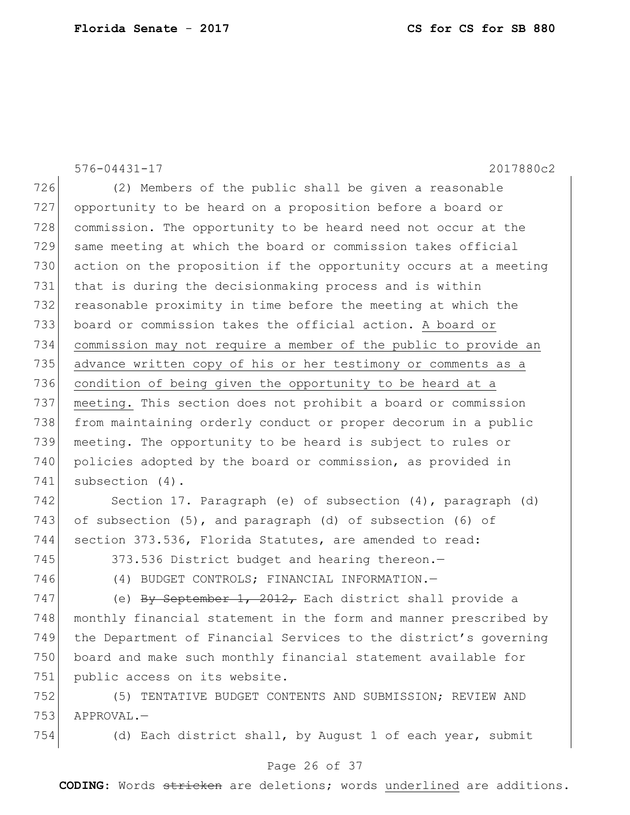576-04431-17 2017880c2 (2) Members of the public shall be given a reasonable opportunity to be heard on a proposition before a board or commission. The opportunity to be heard need not occur at the same meeting at which the board or commission takes official action on the proposition if the opportunity occurs at a meeting that is during the decisionmaking process and is within reasonable proximity in time before the meeting at which the board or commission takes the official action. A board or commission may not require a member of the public to provide an advance written copy of his or her testimony or comments as a 736 condition of being given the opportunity to be heard at a meeting. This section does not prohibit a board or commission from maintaining orderly conduct or proper decorum in a public meeting. The opportunity to be heard is subject to rules or 740 policies adopted by the board or commission, as provided in subsection (4). Section 17. Paragraph (e) of subsection (4), paragraph (d) 743 of subsection (5), and paragraph (d) of subsection (6) of

section 373.536, Florida Statutes, are amended to read:

745 373.536 District budget and hearing thereon.

(4) BUDGET CONTROLS; FINANCIAL INFORMATION.—

747 (e) By September 1, 2012, Each district shall provide a 748 monthly financial statement in the form and manner prescribed by the Department of Financial Services to the district's governing board and make such monthly financial statement available for 751 public access on its website.

 (5) TENTATIVE BUDGET CONTENTS AND SUBMISSION; REVIEW AND APPROVAL.—

(d) Each district shall, by August 1 of each year, submit

#### Page 26 of 37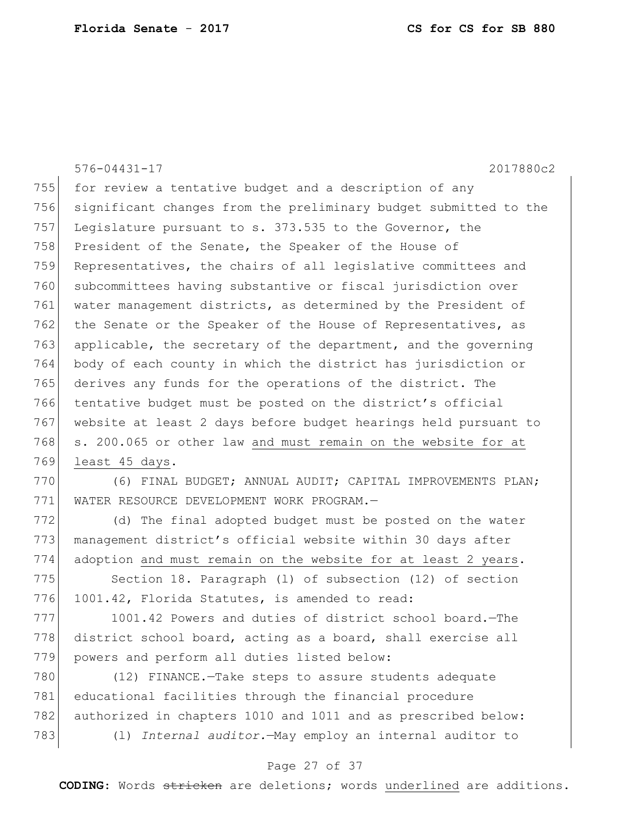576-04431-17 2017880c2 755 for review a tentative budget and a description of any 756 significant changes from the preliminary budget submitted to the 757 Legislature pursuant to s. 373.535 to the Governor, the 758 President of the Senate, the Speaker of the House of 759 Representatives, the chairs of all legislative committees and 760 subcommittees having substantive or fiscal jurisdiction over 761 water management districts, as determined by the President of 762 the Senate or the Speaker of the House of Representatives, as 763 applicable, the secretary of the department, and the governing 764 body of each county in which the district has jurisdiction or 765 derives any funds for the operations of the district. The 766 tentative budget must be posted on the district's official 767 website at least 2 days before budget hearings held pursuant to 768 s. 200.065 or other law and must remain on the website for at 769 least 45 days.

770 (6) FINAL BUDGET; ANNUAL AUDIT; CAPITAL IMPROVEMENTS PLAN; 771 WATER RESOURCE DEVELOPMENT WORK PROGRAM.—

772 (d) The final adopted budget must be posted on the water 773 management district's official website within 30 days after 774 adoption and must remain on the website for at least 2 years.

775 Section 18. Paragraph (1) of subsection (12) of section 776 1001.42, Florida Statutes, is amended to read:

777 1001.42 Powers and duties of district school board.—The 778 district school board, acting as a board, shall exercise all 779 powers and perform all duties listed below:

 (12) FINANCE.—Take steps to assure students adequate educational facilities through the financial procedure 782 authorized in chapters 1010 and 1011 and as prescribed below: (l) *Internal auditor.*—May employ an internal auditor to

#### Page 27 of 37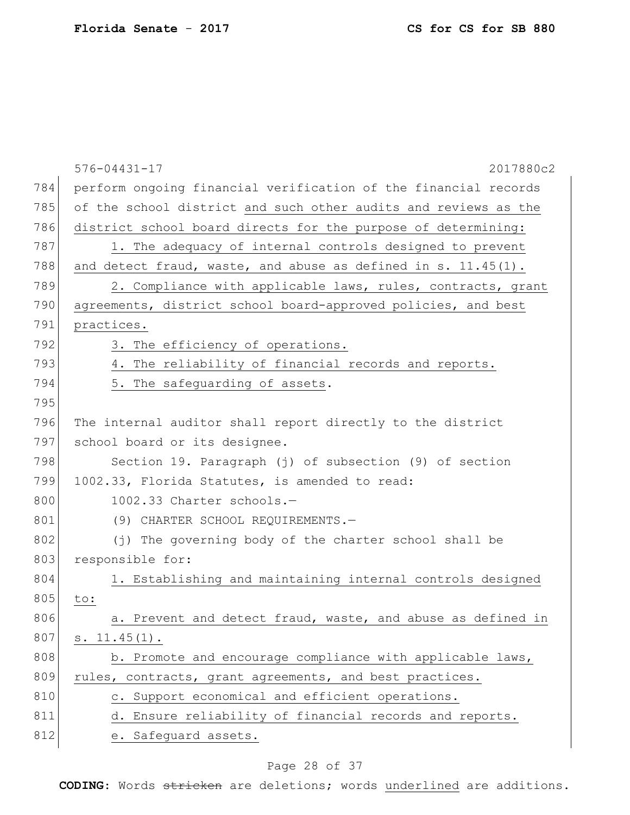|     | $576 - 04431 - 17$<br>2017880c2                                 |
|-----|-----------------------------------------------------------------|
| 784 | perform ongoing financial verification of the financial records |
| 785 | of the school district and such other audits and reviews as the |
| 786 | district school board directs for the purpose of determining:   |
| 787 | 1. The adequacy of internal controls designed to prevent        |
| 788 | and detect fraud, waste, and abuse as defined in s. 11.45(1).   |
| 789 | 2. Compliance with applicable laws, rules, contracts, grant     |
| 790 | agreements, district school board-approved policies, and best   |
| 791 | practices.                                                      |
| 792 | 3. The efficiency of operations.                                |
| 793 | 4. The reliability of financial records and reports.            |
| 794 | 5. The safeguarding of assets.                                  |
| 795 |                                                                 |
| 796 | The internal auditor shall report directly to the district      |
| 797 | school board or its designee.                                   |
| 798 | Section 19. Paragraph (j) of subsection (9) of section          |
| 799 | 1002.33, Florida Statutes, is amended to read:                  |
| 800 | 1002.33 Charter schools.-                                       |
| 801 | (9) CHARTER SCHOOL REQUIREMENTS.-                               |
| 802 | (j) The governing body of the charter school shall be           |
| 803 | responsible for:                                                |
| 804 | 1. Establishing and maintaining internal controls designed      |
| 805 | to:                                                             |
| 806 | a. Prevent and detect fraud, waste, and abuse as defined in     |
| 807 | $s. 11.45(1)$ .                                                 |
| 808 | b. Promote and encourage compliance with applicable laws,       |
| 809 | rules, contracts, grant agreements, and best practices.         |
| 810 | c. Support economical and efficient operations.                 |
| 811 | d. Ensure reliability of financial records and reports.         |
| 812 | e. Safeguard assets.                                            |
|     |                                                                 |

# Page 28 of 37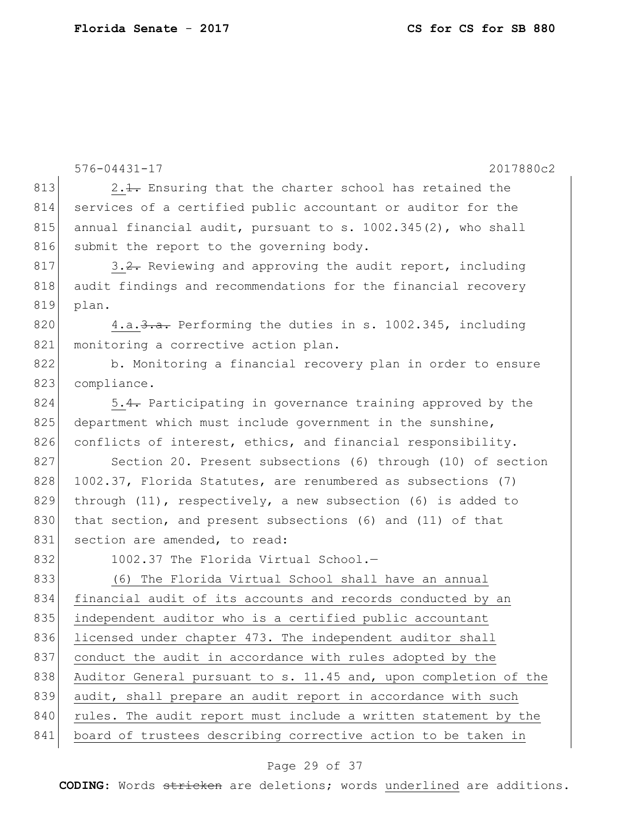576-04431-17 2017880c2 813 2.1. Ensuring that the charter school has retained the 814 services of a certified public accountant or auditor for the 815 annual financial audit, pursuant to s. 1002.345(2), who shall 816 submit the report to the governing body. 817 3.2. Reviewing and approving the audit report, including 818 audit findings and recommendations for the financial recovery 819 plan. 820 4.a.  $\frac{3 \cdot a}{a}$ . Performing the duties in s. 1002.345, including 821 monitoring a corrective action plan. 822 b. Monitoring a financial recovery plan in order to ensure 823 compliance.  $824$  5.4. Participating in governance training approved by the 825 department which must include government in the sunshine, 826 conflicts of interest, ethics, and financial responsibility. 827 Section 20. Present subsections (6) through (10) of section 828 1002.37, Florida Statutes, are renumbered as subsections (7) 829 through (11), respectively, a new subsection (6) is added to 830 that section, and present subsections (6) and (11) of that 831 section are amended, to read: 832 1002.37 The Florida Virtual School.-833 (6) The Florida Virtual School shall have an annual 834 financial audit of its accounts and records conducted by an 835 independent auditor who is a certified public accountant 836 licensed under chapter 473. The independent auditor shall 837 conduct the audit in accordance with rules adopted by the 838 Auditor General pursuant to s. 11.45 and, upon completion of the 839 audit, shall prepare an audit report in accordance with such 840 rules. The audit report must include a written statement by the 841 board of trustees describing corrective action to be taken in

#### Page 29 of 37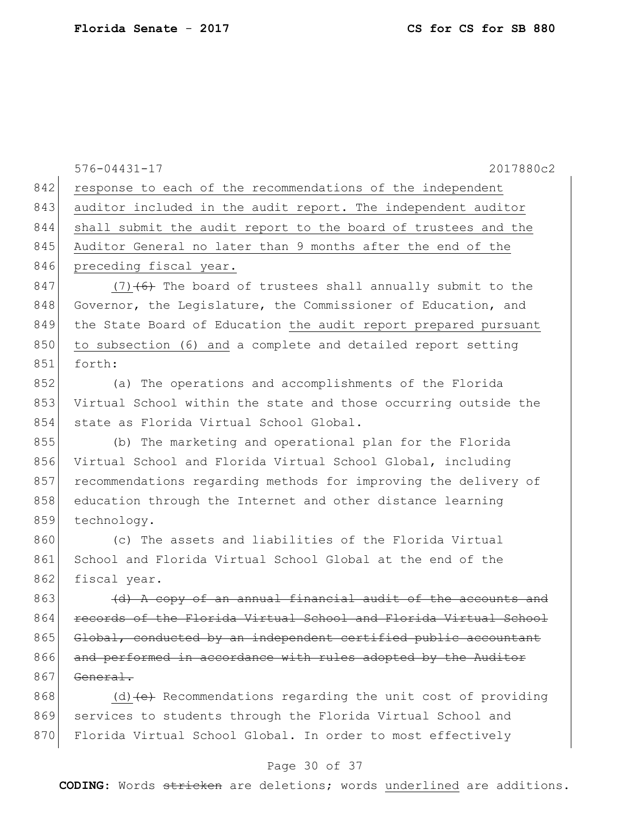| 842 | $576 - 04431 - 17$<br>2017880c2                                  |
|-----|------------------------------------------------------------------|
|     | response to each of the recommendations of the independent       |
| 843 | auditor included in the audit report. The independent auditor    |
| 844 | shall submit the audit report to the board of trustees and the   |
| 845 | Auditor General no later than 9 months after the end of the      |
| 846 | preceding fiscal year.                                           |
| 847 | $(7)$ $(6)$ The board of trustees shall annually submit to the   |
| 848 | Governor, the Legislature, the Commissioner of Education, and    |
| 849 | the State Board of Education the audit report prepared pursuant  |
| 850 | to subsection (6) and a complete and detailed report setting     |
| 851 | forth:                                                           |
| 852 | (a) The operations and accomplishments of the Florida            |
| 853 | Virtual School within the state and those occurring outside the  |
| 854 | state as Florida Virtual School Global.                          |
| 855 | (b) The marketing and operational plan for the Florida           |
| 856 | Virtual School and Florida Virtual School Global, including      |
| 857 | recommendations regarding methods for improving the delivery of  |
| 858 | education through the Internet and other distance learning       |
| 859 | technology.                                                      |
| 860 | (c) The assets and liabilities of the Florida Virtual            |
| 861 | School and Florida Virtual School Global at the end of the       |
| 862 | fiscal year.                                                     |
| 863 | (d) A copy of an annual financial audit of the accounts          |
| 864 | records of the Florida Virtual School and Florida Virtual School |
| 865 | Global, conducted by an independent certified public accountant  |
| 866 | and performed in accordance with rules adopted by the Auditor    |
| 867 | General.                                                         |
| 868 | (d) (e) Recommendations regarding the unit cost of providing     |
| 869 | services to students through the Florida Virtual School and      |
| 870 | Florida Virtual School Global. In order to most effectively      |

# Page 30 of 37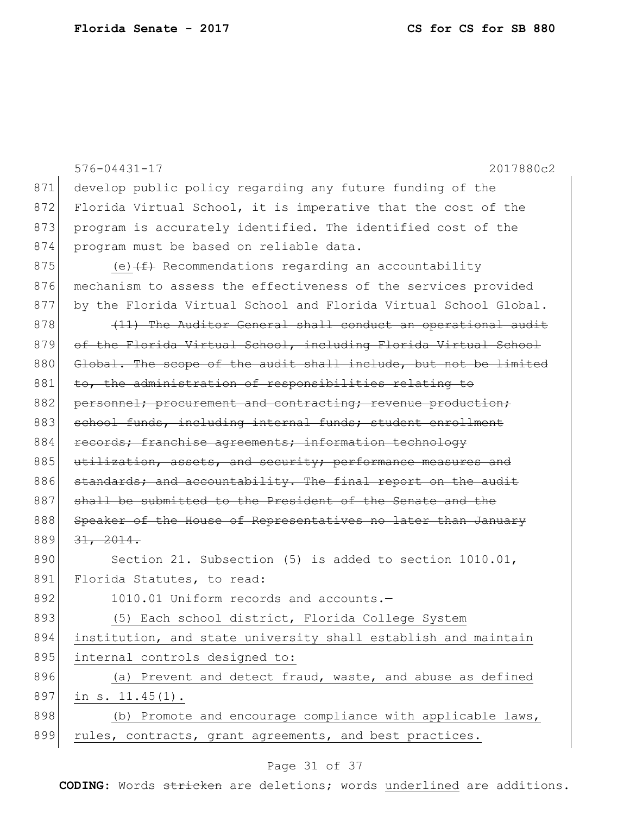|     | $576 - 04431 - 17$<br>2017880c2                                  |
|-----|------------------------------------------------------------------|
| 871 | develop public policy regarding any future funding of the        |
| 872 | Florida Virtual School, it is imperative that the cost of the    |
| 873 | program is accurately identified. The identified cost of the     |
| 874 | program must be based on reliable data.                          |
| 875 | (e) $(f)$ Recommendations regarding an accountability            |
| 876 | mechanism to assess the effectiveness of the services provided   |
| 877 | by the Florida Virtual School and Florida Virtual School Global. |
| 878 | (11) The Auditor General shall conduct an operational audit      |
| 879 | of the Florida Virtual School, including Florida Virtual School  |
| 880 | Global. The scope of the audit shall include, but not be limited |
| 881 | to, the administration of responsibilities relating to           |
| 882 | personnel; procurement and contracting; revenue production;      |
| 883 | school funds, including internal funds; student enrollment       |
| 884 | records; franchise agreements; information technology            |
| 885 | utilization, assets, and security; performance measures and      |
| 886 | standards; and accountability. The final report on the audit     |
| 887 | shall be submitted to the President of the Senate and the        |
| 888 | Speaker of the House of Representatives no later than January    |
| 889 | 31, 2014.                                                        |
| 890 | Section 21. Subsection (5) is added to section 1010.01,          |
| 891 | Florida Statutes, to read:                                       |
| 892 | 1010.01 Uniform records and accounts.-                           |
| 893 | (5) Each school district, Florida College System                 |
| 894 | institution, and state university shall establish and maintain   |
| 895 | internal controls designed to:                                   |
| 896 | (a) Prevent and detect fraud, waste, and abuse as defined        |
| 897 | in $s. 11.45(1)$ .                                               |
| 898 | (b) Promote and encourage compliance with applicable laws,       |
| 899 | rules, contracts, grant agreements, and best practices.          |
|     |                                                                  |

# Page 31 of 37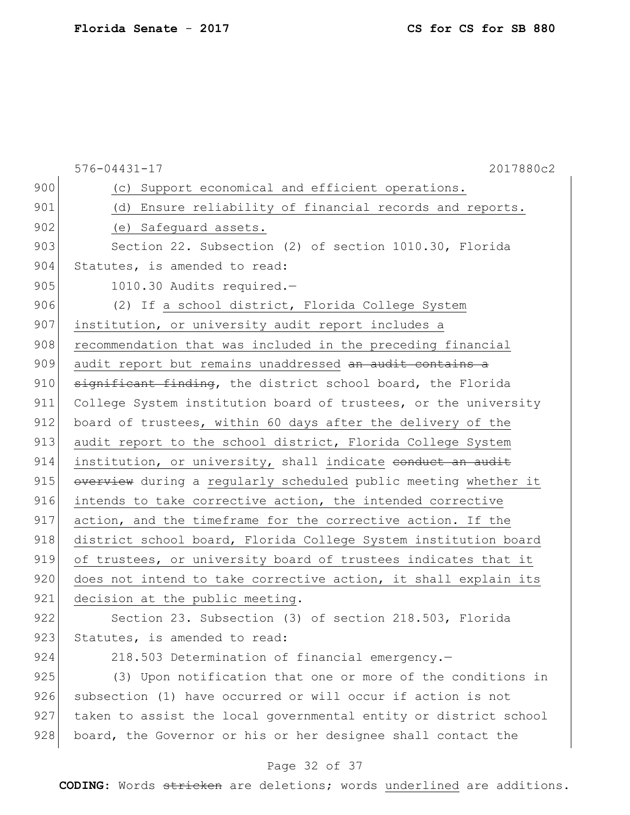|     | 2017880c2<br>$576 - 04431 - 17$                                  |
|-----|------------------------------------------------------------------|
| 900 | (c) Support economical and efficient operations.                 |
| 901 | (d) Ensure reliability of financial records and reports.         |
| 902 | (e) Safequard assets.                                            |
| 903 | Section 22. Subsection (2) of section 1010.30, Florida           |
| 904 | Statutes, is amended to read:                                    |
| 905 | 1010.30 Audits required.-                                        |
| 906 | (2) If a school district, Florida College System                 |
| 907 | institution, or university audit report includes a               |
| 908 | recommendation that was included in the preceding financial      |
| 909 | audit report but remains unaddressed an audit contains a         |
| 910 | significant finding, the district school board, the Florida      |
| 911 | College System institution board of trustees, or the university  |
| 912 | board of trustees, within 60 days after the delivery of the      |
| 913 | audit report to the school district, Florida College System      |
| 914 | institution, or university, shall indicate conduct an audit      |
| 915 | overview during a regularly scheduled public meeting whether it  |
| 916 | intends to take corrective action, the intended corrective       |
| 917 | action, and the timeframe for the corrective action. If the      |
| 918 | district school board, Florida College System institution board  |
| 919 | of trustees, or university board of trustees indicates that it   |
| 920 | does not intend to take corrective action, it shall explain its  |
| 921 | decision at the public meeting.                                  |
| 922 | Section 23. Subsection (3) of section 218.503, Florida           |
| 923 | Statutes, is amended to read:                                    |
| 924 | 218.503 Determination of financial emergency.-                   |
| 925 | (3) Upon notification that one or more of the conditions in      |
| 926 | subsection (1) have occurred or will occur if action is not      |
| 927 | taken to assist the local governmental entity or district school |
| 928 | board, the Governor or his or her designee shall contact the     |

# Page 32 of 37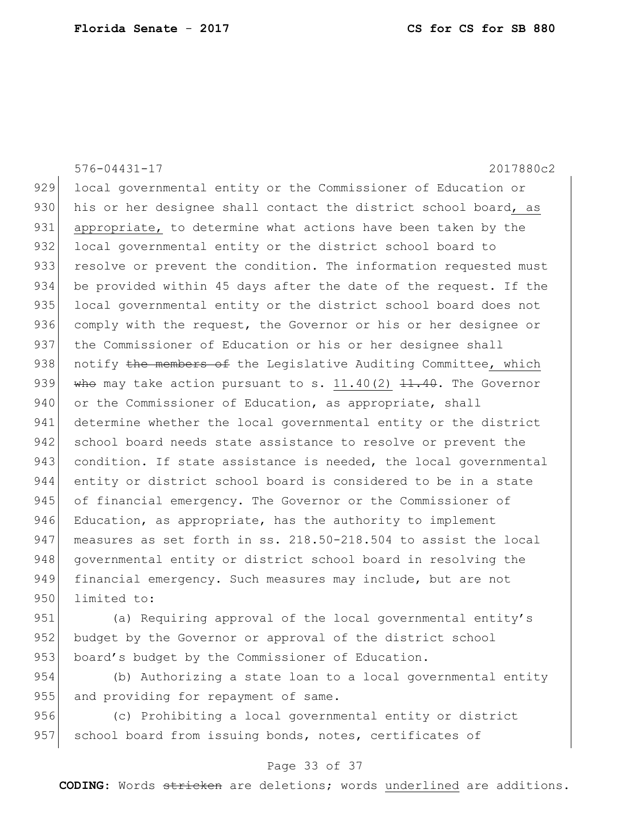576-04431-17 2017880c2 929 local governmental entity or the Commissioner of Education or 930 his or her designee shall contact the district school board, as 931 appropriate, to determine what actions have been taken by the 932 local governmental entity or the district school board to 933 resolve or prevent the condition. The information requested must 934 be provided within 45 days after the date of the request. If the 935 local governmental entity or the district school board does not 936 comply with the request, the Governor or his or her designee or 937 the Commissioner of Education or his or her designee shall 938 notify the members of the Legislative Auditing Committee, which 939 who may take action pursuant to s.  $11.40(2)$   $\overline{11.40}$ . The Governor 940 or the Commissioner of Education, as appropriate, shall 941 determine whether the local governmental entity or the district 942 school board needs state assistance to resolve or prevent the 943 condition. If state assistance is needed, the local governmental 944 entity or district school board is considered to be in a state 945 of financial emergency. The Governor or the Commissioner of 946 Education, as appropriate, has the authority to implement 947 measures as set forth in ss. 218.50-218.504 to assist the local 948 governmental entity or district school board in resolving the 949 financial emergency. Such measures may include, but are not 950 limited to:

951 (a) Requiring approval of the local governmental entity's 952 budget by the Governor or approval of the district school 953 board's budget by the Commissioner of Education.

954 (b) Authorizing a state loan to a local governmental entity 955 and providing for repayment of same.

956 (c) Prohibiting a local governmental entity or district 957 school board from issuing bonds, notes, certificates of

#### Page 33 of 37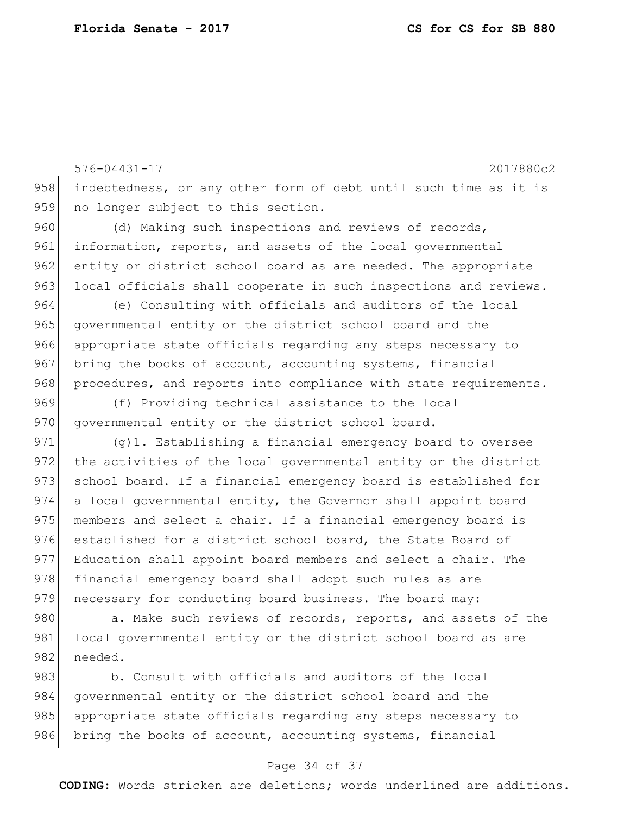576-04431-17 2017880c2 958 indebtedness, or any other form of debt until such time as it is 959 no longer subject to this section. 960 (d) Making such inspections and reviews of records, 961 information, reports, and assets of the local governmental 962 entity or district school board as are needed. The appropriate 963 local officials shall cooperate in such inspections and reviews. 964 (e) Consulting with officials and auditors of the local 965 governmental entity or the district school board and the 966 appropriate state officials regarding any steps necessary to 967 bring the books of account, accounting systems, financial 968 procedures, and reports into compliance with state requirements. 969 (f) Providing technical assistance to the local 970 governmental entity or the district school board. 971 (g)1. Establishing a financial emergency board to oversee 972 the activities of the local governmental entity or the district 973 school board. If a financial emergency board is established for 974 a local governmental entity, the Governor shall appoint board

975 members and select a chair. If a financial emergency board is 976 established for a district school board, the State Board of 977 Education shall appoint board members and select a chair. The 978 financial emergency board shall adopt such rules as are 979 necessary for conducting board business. The board may:

980 a. Make such reviews of records, reports, and assets of the 981 local governmental entity or the district school board as are 982 needed.

983 b. Consult with officials and auditors of the local 984 governmental entity or the district school board and the 985 appropriate state officials regarding any steps necessary to 986 bring the books of account, accounting systems, financial

#### Page 34 of 37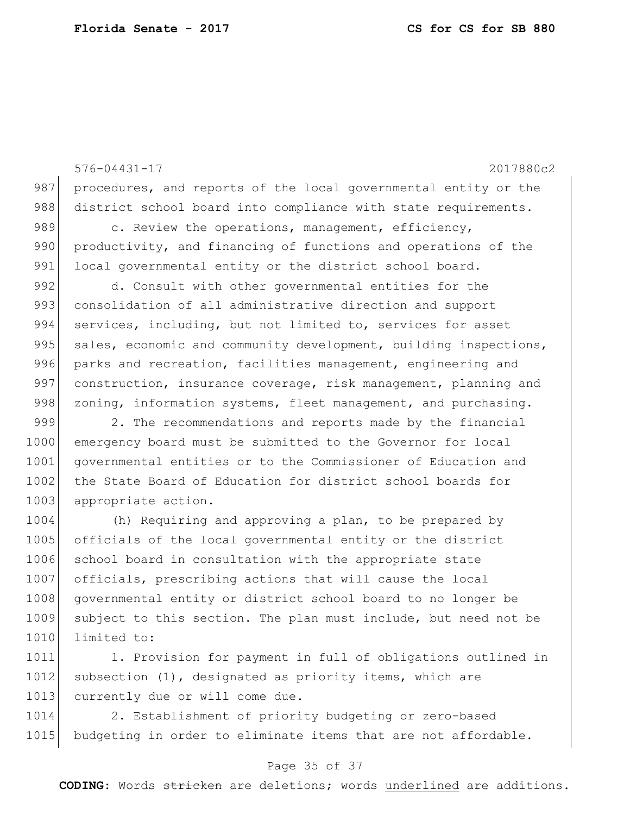576-04431-17 2017880c2 987 procedures, and reports of the local governmental entity or the 988 district school board into compliance with state requirements. 989 c. Review the operations, management, efficiency, 990 productivity, and financing of functions and operations of the 991 local governmental entity or the district school board. 992 d. Consult with other governmental entities for the 993 consolidation of all administrative direction and support 994 services, including, but not limited to, services for asset 995 sales, economic and community development, building inspections, 996 parks and recreation, facilities management, engineering and 997 construction, insurance coverage, risk management, planning and 998 zoning, information systems, fleet management, and purchasing. 999 2. The recommendations and reports made by the financial 1000 emergency board must be submitted to the Governor for local 1001 | governmental entities or to the Commissioner of Education and 1002 the State Board of Education for district school boards for 1003 appropriate action. 1004 (h) Requiring and approving a plan, to be prepared by 1005 officials of the local governmental entity or the district 1006 school board in consultation with the appropriate state 1007 officials, prescribing actions that will cause the local 1008 governmental entity or district school board to no longer be 1009 subject to this section. The plan must include, but need not be 1010 limited to:

1011 1. Provision for payment in full of obligations outlined in  $1012$  subsection  $(1)$ , designated as priority items, which are 1013 currently due or will come due.

1014 2. Establishment of priority budgeting or zero-based 1015 budgeting in order to eliminate items that are not affordable.

#### Page 35 of 37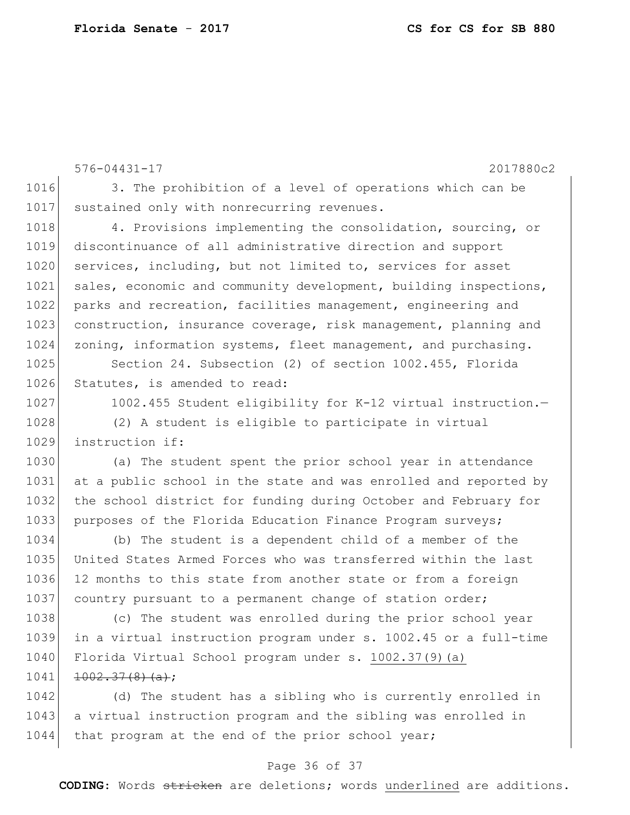```
576-04431-17 2017880c2
1016 3. The prohibition of a level of operations which can be
1017 sustained only with nonrecurring revenues.
1018 4. Provisions implementing the consolidation, sourcing, or
1019 discontinuance of all administrative direction and support 
1020 services, including, but not limited to, services for asset
1021 sales, economic and community development, building inspections,
1022 parks and recreation, facilities management, engineering and
1023 construction, insurance coverage, risk management, planning and
1024 zoning, information systems, fleet management, and purchasing.
1025 Section 24. Subsection (2) of section 1002.455, Florida
1026 Statutes, is amended to read:
1027 1002.455 Student eligibility for K-12 virtual instruction.
1028 (2) A student is eligible to participate in virtual
1029 instruction if:
```
1030 (a) The student spent the prior school year in attendance 1031 at a public school in the state and was enrolled and reported by 1032 the school district for funding during October and February for 1033 purposes of the Florida Education Finance Program surveys;

 (b) The student is a dependent child of a member of the United States Armed Forces who was transferred within the last 12 months to this state from another state or from a foreign 1037 country pursuant to a permanent change of station order;

 (c) The student was enrolled during the prior school year in a virtual instruction program under s. 1002.45 or a full-time 1040 Florida Virtual School program under s. 1002.37(9)(a)  $1002.37(8)(a)$ ;

1042 (d) The student has a sibling who is currently enrolled in 1043 a virtual instruction program and the sibling was enrolled in 1044 that program at the end of the prior school year;

#### Page 36 of 37